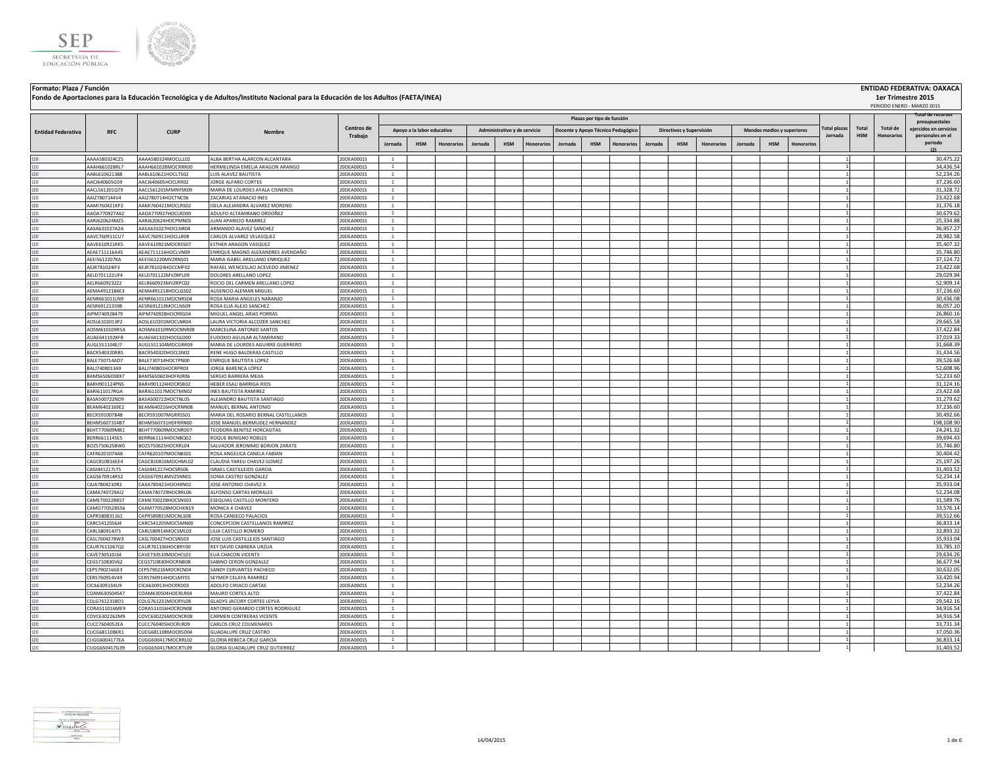



**Fondo de Aportaciones para la Educación Tecnológica y de Adultos/Instituto Nacional para la Educación de los Adultos (FAETA/INEA)**

## **Jornada HSM Honorarios Jornada HSM Honorarios Jornada HSM Honorarios Jornada HSM Honorarios Jornada HSM Honorarios** I20 AAAA580324CZ5 AAAA580324MOCLLL02 ALBA BERTHA ALARCON ALCANTARA 20DEA0001S 1 1 30,475.22 I20 AAAH661028RL7 AAAH661028MOCRRR00 HERMELINDA EMELIA ARAGON ARANGO 20DEA0001S 1 1 34,436.54 I20 AABL610621388 AABL610621HOCLTS02 LUIS ALAVEZ BAUTISTA 20DEA0001S 1 1 52,234.26 I20 AACJ640605G59 AACJ640605HOCLRR02 JORGE ALFARO CORTES 20DEA0001S 1 1 37,236.60 I20 AACL561201QT9 AACL561201MMNYSR09 MARIA DE LOURDES AYALA CISNEROS 20DEA0001S 1 1 31,328.72 I20 AAIZ7807144V4 AAIZ780714HOCTNC06 ZACARIAS ATANACIO INES 20DEA0001S 1 1 23,422.68 I20 AAMI760421KP2 AAMI760421MOCLRS02 ISELA ALEJANDRA ALVAREZ MORENO 20DEA0001S 1 1 31,376.18 I20 AAOA770927A62 AAOA770927HOCLRD00 |ADULFO ALTAMIRANO ORDOÑEZ 20DEA0001S 1 | | | | | | | | | | | | | | | | | I20 AARJ620624MZ5 AARJ620624HOCPMN05 JUAN APARICIO RAMIREZ 20DEA0001S 1 1 25,334.88 I20 AASA631027A2A AASA631027HOCLNR04 ARMANDO ALAVEZ SANCHEZ 20DEA0001S 1 1 36,957.27 I20 AAVC760911CU7 AAVC760911HOCLLR08 |CARLOS ALVAREZ VELASQUEZ 20DEA0001S 1 | | | | | | | | | | | | | | | | | 28,982.58 I20 AAVE610921RK5 AAVE610921MOCRSS07 ESTHER ARAGON VASQUEZ 20DEA0001S 1 1 35,407.32 I20 AEAE711116A45 AEAE711116HOCLVN09 ENRIQUE MAGNO ALEXANDRES AVENDAÑO 20DEA0001S 1 1 35,746.80 I20 AEEI5612207KA AEEI561220MVZRNS01 MARIA ISABEL ARELLANO ENRIQUEZ 20DEA0001S 1 1 37,124.72 I20 AEJR781024IF3 AEJR781024HOCCMF02 RAFAEL WENCESLAO ACEVEDO JIMENEZ 20DEA0001S 1 1 23,422.68 I20 AELD701122UF4 AELD701122MVZRPL09 DOLORES ARELLANO LOPEZ 20DEA0001S 1 1 29,029.94 I20 AELR6609232Z2 AELR660923MVZRPC02 ROCIO DEL CARMEN ARELLANO LOPEZ 20DEA0001S 1 1 52,909.14 I20 AEMA4912184E3 AEMA491218HOCLGS02 AUSENCIO ALEMAN MIGUEL 20DEA0001S 1 1 37,236.60 I20 AENR661011LN9 AENR661011MOCNRS04 ROSA MARIA ANGELES NARANJO 20DEA0001S 1 1 30,436.08 I20 AESR691213598 AESR691213MOCLNS09 ROSA ELIA ALEJO SANCHEZ 20DEA0001S 1 1 36,057.20 I20 AIPM740928479 AIPM740928HOCRRG04 MIGUEL ANGEL ARIAS PORRAS 20DEA0001S 1 1 26,860.16 I20 AOSL6102013P2 AOSL610201MOCLNR04 LAURA VICTORIA ALCOZER SANCHEZ 20DEA0001S 1 1 29,665.58 I20 AOSM610109R5A AOSM610109MOCNNR08 MARCELINA ANTONIO SANTOS 20DEA0001S 1 1 37,422.84 I20 AUAE641102KF8 AUAE641102HOCGLD00 EUDOXIO AGUILAR ALTAMIRANO 20DEA0001S 1 1 37,019.33 I20 AUGL551104EJ7 AUGL551104MOCGRR09 MARIA DE LOURDES AGUIRRE GUERRERO 20DEA0001S 1 1 1 1 1 1 1 1 31,668.39 MA I20 BACR540320RB5 BACR540320HOCLSN02 RENE HUGO BALDERAS CASTILLO 20DEA0001S 1 | | | | | | | | | | | | | | | | | I20 BALE730714AD7 BALE730714HOCTPN00 ENRIQUE BAUTISTA LOPEZ 20DEA0001S 1 1 39,526.68 I20 BALJ7408013A9 BALJ740801HOCRPR03 JORGE BARENCA LÓPEZ 20DEA0001S 1 1 52,608.96 I20 BAMS650603BX7 BAMS650603HDFRJR06 SERGIO BARRERA MEJIA 20DEA0001S 1 1 52,233.60 I20 BARH901124PN5 BARH901124HOCRSB02 HEBER ESAU BARRIGA RIOS 20DEA0001S 1 1 31,124.16 I20 BARI611017RGA BARI611017MOCTMN02 INES BAUTISTA RAMIREZ 20DEA0001S 1 1 23,422.68 I20 BASA500722ND9 BASA500722HOCTNL05 ALEJANDRO BAUTISTA SANTIAGO 20DEA0001S 1 | | | | | | | | | | | | | | | | | I20 BEAM6402169E2 BEAM640216HOCRNN08 MANUEL BERNAL ANTONIO 2000EA0001S 1 2 37,236.60 20DEA0001S 1 2 37,236.60 I20 BECR591007B48 BECR591007MGRRSS01 MARIA DEL ROSARIO BERNAL CASTELLANOS 20DEA0001S 1 1 30,492.66 I20 BEHM5607314B7 BEHM560731HDFRRN00 JOSE MANUEL BERMUDEZ HERNANDEZ 20DEA0001S 1 1 198,108.90 I20 BEHT770609MB1 BEHT770609MOCNRD07 TEODORA BENITEZ HORCASITAS 20DEA0001S 1 2 2000 2000 2000 2000 201 24,241.32 I20 BERR661114SE5 BERR661114HOCNBQ02 ROQUEBENIGNO.ROBLES 20DEA0001S 1 | | | | | | | | | | | | | | | | | 39,694.43 I20 BOZS750625BW0 BOZS750625HOCRRL04 SALVADOR JERONIMO BORJON ZARATE 20DEA0001S 1 1 35,746.80 I20 CAFR6201074A8 CAFR620107MOCNBS01 ROSA ANGELICA CANELA FABIAN 20DEA0001S 1 1 1 1 3 30,404.42 30,404.42 30,404.42 I20 CAGC810816EE4 CAGC810816MOCHML02 CLAUDIA YARELI CHAVEZ GOMEZ 20DEA0001S 1 1 25,197.26 I20 CAGI441217LT5 CAGI441217HOCSRS06 |ISRAEL CASTILLEJOS GARCIA 20DEA0001S | 1 | | | | | | | | | | | | | | | 31,403.52 I20 CAGS670914R52 CAGS670914MVZSNN01 SONIA CASTRO GONZALEZ 20DEA0001S 1 1 1 1 1 1 1 1 1 1 1 1 1 1 52,234.14 I20 CAJA7804210R2 CAXA780421HOCHXN02 JJOSEANTONIO CHAVEZ X 20DEA0001S 1 | | | | | | | | | | | | | | | | | 35,933.04 I20 CAMA740729AI2 CAMA740729HOCRRL06 ALFONSO CARTAS MORALES 20DEA0001S 1 1 52,234.08 I20 CAME700228B57 CAME700228HOCSNS03 ESEQUIAS CASTILLO MONTERO 20DEA0001S 1 1 1 1 31,589.76 I20 CAMO770528556 CAXM770528MOCHXN19 MONICA X CHAVEZ 20DEA0001S 1 1 33,576.14 I20 CAPR580831161 CAPR580831MOCNLS08 ROSA CANSECO PALACIOS 20DEA0001S 1 1 39,512.66 I20 CARC5412056J4 CARC541205MOCSMN00 CONCEPCION CASTELLANOS RAMIREZ 20DEA0001S 1 1 1 1 3 36,833.14 20DEA0001S 1 2 20DEA0001S 20DEA0001S 20DEA0001S 20DEA0001S 20DEA0001S 20DEA0001S 20DEA00015 20DEA00015 20DEA00015 20DEA0001 I20 CARL580914JT5 CARL580914MOCSML03 LILIACASTILLO ROMERO 2000-A0001S 1 | | | | | | | | | | | | | | | | | 32,893.32 I20 CASL7004278W3 CASL700427HOCSNS03 JOSE LUIS CASTILLEJOS SANTIAGO 20DEA0001S 1 | | | | | | | | | | | | | | | | | 35,933.04 I20 CAUR7611067Q2 CAUR761106HOCBRY00 REY DAVID CABRERA URZUA 20DEA0001S 1 1 33,785.10 I20 CAVE730510J34 CAVE730510MOCHCL01 ELIACHACON VICENTE 20DEA0001S 1 2 2001 2002640001S 1 2 29,634.26 I20 CEGS710830V62 CEGS710830HOCRNB08 SABINO CERON GONZALEZ 20DEA0001S 1 2 30.5677.94 20DEA0001S 20DEA0001S 20DEA0001S 20DEA00015 20DEA00015 20DEA00015 20DEA00015 20DEA00015 20DEA00015 20DEA00015 20DEA00015 20DEA00015 20DEA I20 CEPS790216GE3 CEPS790216MOCRCN04 SANDY CERVANTES PACHECO 20DEA0001S 1 1 30,632.05 I20 CERS760914V49 CERS760914HOCLMY01 SEYMERCELAYA RAMIREZ 20DEA0001S 1 | | | | | | | | | | | | | | | | | 33,420.94 I20 CICA6309134U9 CICA630913HOCRRD03 ADOLFO CIRIACO CARTAS 20DEA0001S 1 1 52,234.26 I20 COAM630504S47 COAM630504HOCRLR04 MAURO CORTES ALTO 20DEA0001S 1 1 37,422.84 I20 COLG761231BD1 COLG761231MOCRYL08 GLADYS JACCIRY CORTES LEYVA 20DEA0001S 1 1 29,542.16 I20 CORA511016ME9 CORA511016HOCRDN08 ANTONIO GERARDO CORTES RODRIGUEZ 20DEA0001S 1 1 34,916.54 I20 COVC6302262M9 COVC6302262M9 COVC6302262MOCNCR08 CARMEN CONTRERAS VICENTE 20DEA0001S 1 1 1 1 34,916.54 20DEA0001S 1 2 2 24,916.54 I20 CUCC7604052EA CUCC760405HOCRLR09 CARLOS CRUZ COLMENARES 20DEA0001S 1 2 33,731.34 20DEA0001S 20DEA0001S 20DEA0001S 20DEA00015 20DEA00015 20DEA00015 20DEA00015 20DEA00015 20DEA00015 20DEA00015 20DEA00015 20DEA00015 20DEA I20 CUCG681108KR1 CUCG681108KR1 CUCG681108MOCRSD04 GUADALUPE CRUZ CASTRO 20DEA0001S 20DEA0001S 1 2 37,050.36 20 I20 CUGG6004177EA CUGG600417MOCRRL02 GLORIA REBECA CRUZGARCIA 20DEA0001S 1 | | | | | | | | | | | | | | | | | 36,833.14 I20 CUGG650417G39 CUGG650417MOCRTL09 GLORIA GUADALUPE CRUZ GUTIERREZ 20DEA0001S 1 1 31,403.52 **Total HSM Total de Honorarios Administrativo y de servicio Docente y Apoyo Técnico Pedagógico Directivos y Supervisión Mandos medios y superiores Plazas por tipo de función Total plazas Jornada** PERIODO ENERO - MARZO 2015 **RFC CURP Nombre Entidad Federativa RFC CURP CORP Nombre Centros de** <br> **CENTRO CURP Nombre CORP CURP CURP Trabajo Total de recursos presupuestales ejercidos en servicios personales en el periodo (2) Apoyo a la labor educativa**

**Formato: Plaza / Función ENTIDAD FEDERATIVA: OAXACA**

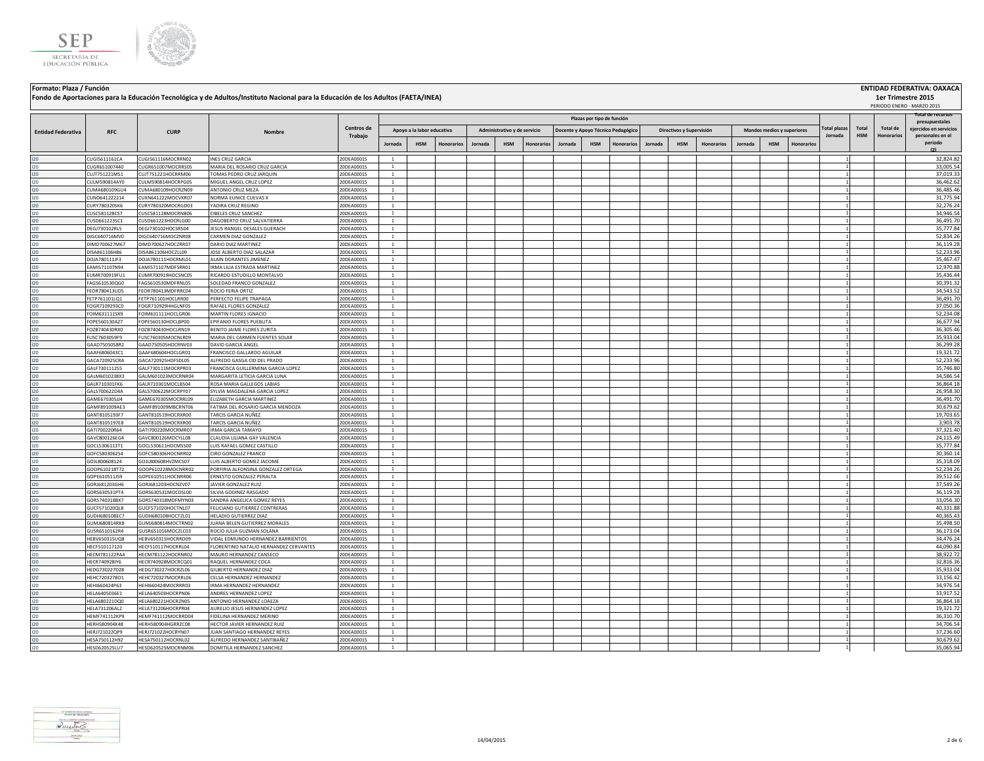



**Fondo de Aportaciones para la Educación Tecnológica y de Adultos/Instituto Nacional para la Educación de los Adultos (FAETA/INEA)**

**Formato: Plaza / Función ENTIDAD FEDERATIVA: OAXACA**

|                           |                                |                                          |                                                              |                          |                              |                            |                   |         |                              |            |                                    |                            |            |         |                          |                   |         |                            |            |                     |            |                   | PERIODO ENERO - MARZO 2015               |
|---------------------------|--------------------------------|------------------------------------------|--------------------------------------------------------------|--------------------------|------------------------------|----------------------------|-------------------|---------|------------------------------|------------|------------------------------------|----------------------------|------------|---------|--------------------------|-------------------|---------|----------------------------|------------|---------------------|------------|-------------------|------------------------------------------|
|                           |                                |                                          |                                                              |                          |                              |                            |                   |         |                              |            |                                    | Plazas por tipo de función |            |         |                          |                   |         |                            |            |                     |            |                   | Total de recursos                        |
|                           |                                |                                          |                                                              | Centros de               |                              | Apoyo a la labor educativa |                   |         | Administrativo y de servicio |            | Docente y Apoyo Técnico Pedagógico |                            |            |         | Directivos y Supervisión |                   |         | Mandos medios y superiores |            | <b>Total plazas</b> | Total      | <b>Total de</b>   | presupuestales<br>ejercidos en servicios |
| <b>Entidad Federativa</b> | <b>RFC</b>                     | <b>CURP</b>                              | Nombre                                                       | Trabajo                  |                              |                            |                   |         |                              |            |                                    |                            |            |         |                          |                   |         |                            |            | Jornada             | <b>HSM</b> | <b>Honorarios</b> | personales en el                         |
|                           |                                |                                          |                                                              |                          | Jornada                      | <b>HSM</b>                 | <b>Honorarios</b> | Jornada | <b>HSM</b>                   | Honorarios | Jornada                            | <b>HSM</b>                 | Honorarios | Jornada | <b>HSM</b>               | <b>Honorarios</b> | Jornada | <b>HSM</b>                 | Honorarios |                     |            |                   | periodo<br>(2)                           |
|                           |                                |                                          |                                                              |                          |                              |                            |                   |         |                              |            |                                    |                            |            |         |                          |                   |         |                            |            |                     |            |                   |                                          |
| 120                       | CUGI5611161CA<br>CUGR651007440 | CUGI561116MOCRRN02<br>CUGR651007MOCRRS05 | <b>INES CRUZ GARCIA</b><br>MARIA DEL ROSARIO CRUZ GARCIA     | 20DEA0001S<br>20DEA0001S | <sup>1</sup><br>1            |                            |                   |         |                              |            |                                    |                            |            |         |                          |                   |         |                            |            |                     |            |                   | 32,824.82<br>33,005.54                   |
| 120<br>120                | CUJT751221MS1                  | CUJT751221HOCRRM06                       | TOMAS PEDRO CRUZ JARQUIN                                     | 20DEA0001S               | 1                            |                            |                   |         |                              |            |                                    |                            |            |         |                          |                   |         |                            |            |                     |            |                   | 37,019.33                                |
| 120                       | CULM590814AY0                  | CULM590814HOCRPG05                       | MIGUEL ANGEL CRUZ LOPEZ                                      | 20DEA0001S               | <sup>1</sup>                 |                            |                   |         |                              |            |                                    |                            |            |         |                          |                   |         |                            |            |                     |            |                   | 36,462.62                                |
| 120                       | CUMA680109GU4                  | CUMA680109HOCRZN09                       | ANTONIO CRUZ MEZA                                            | 20DEA0001S               | $\overline{1}$               |                            |                   |         |                              |            |                                    |                            |            |         |                          |                   |         |                            |            |                     |            |                   | 36.485.46                                |
| 120                       | CUNO641222214                  | CUXN641222MOCVXR07                       | NORMA EUNICE CUEVAS X                                        | 20DEA0001S               | $\mathbf{1}$                 |                            |                   |         |                              |            |                                    |                            |            |         |                          |                   |         |                            |            |                     |            |                   | 31,775.94                                |
| 120                       | CURY780320SK6                  | CURY780320MOCRGD03                       | YADIRA CRUZ REGINO                                           | 20DEA0001S               | $\mathbf{1}$                 |                            |                   |         |                              |            |                                    |                            |            |         |                          |                   |         |                            |            |                     |            |                   | 32,276.24                                |
| 120                       | CUSC581128CS7                  | CUSC581128MOCRNB06                       | CIBELES CRUZ SANCHEZ                                         | 20DEA0001S               | $\mathbf{1}$                 |                            |                   |         |                              |            |                                    |                            |            |         |                          |                   |         |                            |            |                     |            |                   | 34,946.54                                |
| 120                       | CUSD661223SC1                  | CUSD661223HOCRLG00                       | DAGOBERTO CRUZ SALVATIERRA                                   | 20DEA0001S               | $\mathbf{1}$                 |                            |                   |         |                              |            |                                    |                            |            |         |                          |                   |         |                            |            |                     |            |                   | 36,491.70                                |
| 120                       | DEGJ730102RL5                  | DEGJ730102HOCSRS04                       | JESUS RANGEL DESALES GUERACH                                 | 20DEA0001S               | $\mathbf{1}$                 |                            |                   |         |                              |            |                                    |                            |            |         |                          |                   |         |                            |            |                     |            |                   | 35,777.84                                |
| 120                       | DIGC640716MV0<br>DIMD700627M67 | DIGC640716MOCZNR08<br>DIMD700627HOCZRR07 | CARMEN DIAZ GONZALEZ<br>DARIO DIAZ MARTINEZ                  | 20DEA0001S<br>20DEA0001S | <sup>1</sup><br>$\mathbf{1}$ |                            |                   |         |                              |            |                                    |                            |            |         |                          |                   |         |                            |            |                     |            |                   | 52,834.26<br>36,119.28                   |
| 120                       | DISA861106H86                  | DISA861106HOCZLL09                       | JOSE ALBERTO DIAZ SALAZAR                                    | 20DEA0001S               | <sup>1</sup>                 |                            |                   |         |                              |            |                                    |                            |            |         |                          |                   |         |                            |            |                     |            |                   | 52,233.96                                |
| 120<br>120                | DOJA780111JF3                  | DOJA780111HOCRML01                       | ALAIN DORANTES JIMENEZ                                       | 20DEA0001S               | $\mathbf{1}$                 |                            |                   |         |                              |            |                                    |                            |            |         |                          |                   |         |                            |            |                     |            |                   | 35,467.47                                |
| 120                       | EAMI571107N94                  | EAMI571107MDFSRR01                       | IRMA LILIA ESTRADA MARTINEZ                                  | 20DEA0001S               | $\mathbf{1}$                 |                            |                   |         |                              |            |                                    |                            |            |         |                          |                   |         |                            |            |                     |            |                   | 12,970.88                                |
| 120                       | EUMR700919FU1                  | UMR700919HOCSNC05                        | RICARDO ESTUDILLO MONTALVO                                   | 20DEA0001S               | $\mathbf{1}$                 |                            |                   |         |                              |            |                                    |                            |            |         |                          |                   |         |                            |            |                     |            |                   | 35,436.44                                |
| 120                       | FAGS610530QG0                  | FAGS610530MDFRNL05                       | SOLEDAD FRANCO GONZALEZ                                      | 20DEA0001S               | 1                            |                            |                   |         |                              |            |                                    |                            |            |         |                          |                   |         |                            |            |                     |            |                   | 30,391.32                                |
| 120                       | FEOR780413UD5                  | FEOR780413MDFRRC04                       | ROCIO FERIA ORTIZ                                            | 20DEA0001S               | <sup>1</sup>                 |                            |                   |         |                              |            |                                    |                            |            |         |                          |                   |         |                            |            |                     |            |                   | 34,543.52                                |
| 120                       | FETP761101LQ1                  | FETP761101HOCLRR00                       | PERFECTO FELIPE TRAPAGA                                      | 20DEA0001S               | 1                            |                            |                   |         |                              |            |                                    |                            |            |         |                          |                   |         |                            |            |                     |            |                   | 36,491.70                                |
| 120                       | FOGR7109293C0                  | FOGR710929HHGLNF05                       | RAFAEL FLORES GONZALEZ                                       | 20DEA0001S               | $\mathbf{1}$                 |                            |                   |         |                              |            |                                    |                            |            |         |                          |                   |         |                            |            |                     |            |                   | 37,050.36                                |
| 120                       | FOIM631111SX9                  | FOIM631111HOCLGR06                       | MARTIN FLORES IGNACIO                                        | 20DEA0001S               | $\mathbf{1}$                 |                            |                   |         |                              |            |                                    |                            |            |         |                          |                   |         |                            |            |                     |            |                   | 52,234.08                                |
| 120                       | FOPE560130AZ7                  | FOPE560130HOCLBP00                       | EPIFANIO FLORES PUEBLITA                                     | 20DEA0001S               | $\mathbf{1}$                 |                            |                   |         |                              |            |                                    |                            |            |         |                          |                   |         |                            |            |                     |            |                   | 36,677.94                                |
| 120<br>120                | FOZB740430RX0<br>FUSC7603059F9 | FOZB740430HOCLRN19<br>FUSC760305MOCNLR09 | BENITO JAIME FLORES ZURITA<br>MARIA DEL CARMEN FUENTES SOLAR | 20DEA0001S<br>20DEA0001S | $\mathbf{1}$<br>$\mathbf{1}$ |                            |                   |         |                              |            |                                    |                            |            |         |                          |                   |         |                            |            |                     |            |                   | 36,305.46<br>35,933.04                   |
| 120                       | GAAD7505058R2                  | GAAD750505HOCRNV03                       | DAVID GARCIA ANGEL                                           | 20DEA0001S               | $\overline{1}$               |                            |                   |         |                              |            |                                    |                            |            |         |                          |                   |         |                            |            |                     |            |                   | 36.299.28                                |
| 120                       | GAAF6806043C1                  | GAAF680604HOCLGR01                       | FRANCISCO GALLARDO AGUILAR                                   | 20DEA0001S               | $\mathbf{1}$                 |                            |                   |         |                              |            |                                    |                            |            |         |                          |                   |         |                            |            |                     |            |                   | 19,321.72                                |
| 120                       | GACA720925CRA                  | GACA720925HDFSDL05                       | ALFREDO GASGA CID DEL PRADO                                  | 20DEA0001S               | $\mathbf{1}$                 |                            |                   |         |                              |            |                                    |                            |            |         |                          |                   |         |                            |            |                     |            |                   | 52,233.96                                |
| 120                       | GALF7301112S5                  | GALF730111MOCRPR03                       | FRANCISCA GUILLERMINA GARCIA LOPEZ                           | 20DEA0001S               | <sup>1</sup>                 |                            |                   |         |                              |            |                                    |                            |            |         |                          |                   |         |                            |            |                     |            |                   | 35,746.80                                |
| 120                       | GALM6010238X3                  | GALM601023MOCRNR04                       | MARGARITA LETICIA GARCIA LUNA                                | 20DEA0001S               | $\mathbf{1}$                 |                            |                   |         |                              |            |                                    |                            |            |         |                          |                   |         |                            |            |                     |            |                   | 34,586.54                                |
| 120                       | GALR710301FK6                  | GALR710301MOCLBS04                       | ROSA MARIA GALLEGOS LABIAS                                   | 20DEA0001S               | $\mathbf{1}$                 |                            |                   |         |                              |            |                                    |                            |            |         |                          |                   |         |                            |            |                     |            |                   | 36,864.18                                |
| 120                       | GALS700622D4A                  | GALS700622MOCRPY07                       | SYLVIA MAGDALENA GARCIA LOPEZ                                | 20DEA0001S               | $\mathbf{1}$                 |                            |                   |         |                              |            |                                    |                            |            |         |                          |                   |         |                            |            |                     |            |                   | 26,958.30                                |
| 120                       | GAME670305JJ4                  | GAME670305MOCRRL09                       | ELIZABETH GARCIA MARTINEZ                                    | 20DEA0001S               | $\mathbf{1}$                 |                            |                   |         |                              |            |                                    |                            |            |         |                          |                   |         |                            |            |                     |            |                   | 36,491.70                                |
| 120                       | GAMF891009AE3                  | GAMF891009MBCRNT06                       | FATIMA DEL ROSARIO GARCIA MENDOZA                            | 20DEA0001S               | $\mathbf{1}$                 |                            |                   |         |                              |            |                                    |                            |            |         |                          |                   |         |                            |            |                     |            |                   | 30,679.62                                |
| 120                       | GANT8105193F7<br>GANT8105197E8 | GANT810519HOCRXR00<br>GANT810519HOCRXR00 | TARCIS GARCIA NUÑEZ<br>TARCIS GARCIA NUÑEZ                   | 20DEA0001S<br>20DEA0001S | 1<br>$\mathbf{1}$            |                            |                   |         |                              |            |                                    |                            |            |         |                          |                   |         |                            |            |                     |            |                   | 19,703.65<br>3,903.78                    |
| 120<br>120                | GAT1700220R64                  | GATI700220MOCRMR07                       | <b>IRMA GARCIA TAMAYO</b>                                    | 20DEA0001S               | $\mathbf{1}$                 |                            |                   |         |                              |            |                                    |                            |            |         |                          |                   |         |                            |            |                     |            |                   | 37,321.40                                |
| 120                       | GAVC800126EG4                  | GAVC800126MOCYLL08                       | CLAUDIA HIJANA GAY VALENCIA                                  | 20DEA0001S               | $\mathbf{1}$                 |                            |                   |         |                              |            |                                    |                            |            |         |                          |                   |         |                            |            |                     |            |                   | 24,115.49                                |
| 120                       | GOCL5306113T1                  | GOCL530611HOCMSS00                       | LUIS RAFAEL GOMEZ CASTILLO                                   | 20DEA0001S               | $\mathbf{1}$                 |                            |                   |         |                              |            |                                    |                            |            |         |                          |                   |         |                            |            |                     |            |                   | 35,777.84                                |
| 120                       | GOFC5803062S4                  | GOFC580306HOCNRR02                       | CIRO GONZALEZ FRANCO                                         | 20DEA0001S               | $\mathbf{1}$                 |                            |                   |         |                              |            |                                    |                            |            |         |                          |                   |         |                            |            |                     |            |                   | 30,360.14                                |
| 120                       | GOJL800608124                  | GOJL800608HVZMCS07                       | LUIS ALBERTO GOMEZ JACOME                                    | 20DEA0001S               | $\mathbf{1}$                 |                            |                   |         |                              |            |                                    |                            |            |         |                          |                   |         |                            |            |                     |            |                   | 35,318.09                                |
| 120                       | GOOP610218T72                  | GOOP610228MOCNRR02                       | PORFIRIA ALFONSINA GONZALEZ ORTEGA                           | 20DEA0001S               | $\mathbf{1}$                 |                            |                   |         |                              |            |                                    |                            |            |         |                          |                   |         |                            |            |                     |            |                   | 52,234.26                                |
| 120                       | GOPE610511J59                  | GOPE610511HOCNRR06                       | ERNESTO GONZALEZ PERALTA                                     | 20DEA0001S               | 1                            |                            |                   |         |                              |            |                                    |                            |            |         |                          |                   |         |                            |            |                     |            |                   | 39,512.66                                |
| 120                       | GORJ681203GH6                  | GORJ681203HOCNZV07                       | JAVIER GONZALEZ RUIZ                                         | 20DEA0001S               | $\mathbf{1}$                 |                            |                   |         |                              |            |                                    |                            |            |         |                          |                   |         |                            |            |                     |            |                   | 37,549.26                                |
| 120                       | GORS630531PT4<br>GORS740318BX7 | GORS630531MOCDSL00<br>GORS740318MDFMYN03 | SILVIA GODINEZ RASGADO<br>SANDRA ANGELICA GOMEZ REYES        | 20DEA0001S<br>20DEA0001S | <sup>1</sup><br>$\mathbf{1}$ |                            |                   |         |                              |            |                                    |                            |            |         |                          |                   |         |                            |            |                     |            |                   | 36,119.28<br>33.056.30                   |
| 120<br>120                | GUCF571020QL8                  | GUCF571020HOCTNL07                       | FELICIANO GUTIERREZ CONTRERAS                                | 20DEA0001S               | $\mathbf{1}$                 |                            |                   |         |                              |            |                                    |                            |            |         |                          |                   |         |                            |            |                     |            |                   | 40,331.88                                |
| 120                       | GUDH680108EC7                  | GUDH680108HOCTZL01                       | HELADIO GUTIERREZ DIAZ                                       | 20DEA0001S               | $\overline{1}$               |                            |                   |         |                              |            |                                    |                            |            |         |                          |                   |         |                            |            |                     |            |                   | 40,365.43                                |
| 120                       | GUMJ680814RK8                  | GUMJ680814MOCTRN02                       | JUANA BELEN GUTIERREZ MORALES                                | 20DEA0001S               | 1                            |                            |                   |         |                              |            |                                    |                            |            |         |                          |                   |         |                            |            |                     |            |                   | 35,498.50                                |
| 120                       | GUSR6510162R4                  | GUSR651016MOCZLC03                       | ROCIO JULIA GUZMAN SOLANA                                    | 20DEA0001S               | 1                            |                            |                   |         |                              |            |                                    |                            |            |         |                          |                   |         |                            |            |                     |            |                   | 36,173.04                                |
| 120                       | HEBV650315UQ8                  | HEBV650315HOCRRD09                       | VIDAL EDMUNDO HERNANDEZ BARRIENTOS                           | 20DEA0001S               | $\mathbf{1}$                 |                            |                   |         |                              |            |                                    |                            |            |         |                          |                   |         |                            |            |                     |            |                   | 34,476.24                                |
| 120                       | HECF510117120                  | HECF510117HOCRRL04                       | FLORENTINO NATALIO HERNANDEZ CERVANTES                       | 20DEA0001S               | 1                            |                            |                   |         |                              |            |                                    |                            |            |         |                          |                   |         |                            |            |                     |            |                   | 44,090.84                                |
| 120                       | HECM781122PA4                  | HECM781122HOCRNR02                       | MAURO HERNANDEZ CANSECO                                      | 20DEA0001S               | <sup>1</sup>                 |                            |                   |         |                              |            |                                    |                            |            |         |                          |                   |         |                            |            |                     |            |                   | 38,922.72                                |
| 120                       | HECR740928IY6                  | HECR740928MOCRCQ01                       | RAQUEL HERNANDEZ COCA                                        | 20DEA0001S               | $\mathbf{1}$                 |                            |                   |         |                              |            |                                    |                            |            |         |                          |                   |         |                            |            |                     |            |                   | 32.816.36                                |
| 120                       | HEDG730227D28                  | HEDG730227HOCRZL06                       | GILBERTO HERNANDEZ DIAZ                                      | 20DEA0001S               | <sup>1</sup>                 |                            |                   |         |                              |            |                                    |                            |            |         |                          |                   |         |                            |            |                     |            |                   | 35,933.04                                |
| 120                       | HEHC720327BD1                  | HEHC720327MOCRRL06                       | CELSA HERNANDEZ HERNANDEZ                                    | 20DEA0001S               | <sup>1</sup><br>$\mathbf{1}$ |                            |                   |         |                              |            |                                    |                            |            |         |                          |                   |         |                            |            |                     |            |                   | 33,156.42<br>34,976.54                   |
| 120<br>120                | HEHI660424P63<br>HELA6405036E1 | HEHI660424MOCRRR03<br>HELA640503HOCRPN06 | IRMA HERNANDEZ HERNANDEZ<br>ANDRES HERNANDEZ LOPEZ           | 20DEA0001S<br>20DEA0001S | $\mathbf{1}$                 |                            |                   |         |                              |            |                                    |                            |            |         |                          |                   |         |                            |            |                     |            |                   | 33,917.52                                |
| 120                       | HELA680221DQ0                  | HELA680221HOCRZN05                       | ANTONIO HERNANDEZ LOAEZA                                     | 20DEA0001S               | $\mathbf{1}$                 |                            |                   |         |                              |            |                                    |                            |            |         |                          |                   |         |                            |            |                     |            |                   | 36,864.18                                |
| 120                       | HELA731206AL2                  | HELA731206HOCRPR04                       | AURELIO JESUS HERNANDEZ LOPEZ                                | 20DEA0001S               | <sup>1</sup>                 |                            |                   |         |                              |            |                                    |                            |            |         |                          |                   |         |                            |            |                     |            |                   | 19,321.72                                |
| 120                       | HEMF741112KP9                  | HEMF741112MOCRRD04                       | FIDELINA HERNANDEZ MERINO                                    | 20DEA0001S               | $\mathbf{1}$                 |                            |                   |         |                              |            |                                    |                            |            |         |                          |                   |         |                            |            |                     |            |                   | 36,310.70                                |
| 120                       | HERH580904K48                  | HERH580904HGRRZC08                       | HECTOR JAVIER HERNANDEZ RUIZ                                 | 20DEA0001S               | $\mathbf{1}$                 |                            |                   |         |                              |            |                                    |                            |            |         |                          |                   |         |                            |            |                     |            |                   | 34,706.54                                |
| 120                       | HERJ721022QP9                  | HERJ721022HOCRYN07                       | JUAN SANTIAGO HERNANDEZ REYES                                | 20DEA0001S               | <sup>1</sup>                 |                            |                   |         |                              |            |                                    |                            |            |         |                          |                   |         |                            |            |                     |            |                   | 37,236.60                                |
| 120                       | HESA750112H92                  | HESA750112HOCRNL02                       | ALFREDO HERNANDEZ SANTIBAÑEZ                                 | 20DEA0001S               | $\,$ 1 $\,$                  |                            |                   |         |                              |            |                                    |                            |            |         |                          |                   |         |                            |            |                     |            |                   | 30,679.62                                |
| 120                       | HESD620525LU7                  | HESD620525MOCRNM06                       | DOMITILA HERNANDEZ SANCHEZ                                   | 20DEA0001S               | $\overline{1}$               |                            |                   |         |                              |            |                                    |                            |            |         |                          |                   |         |                            |            |                     |            |                   | 35,065.94                                |

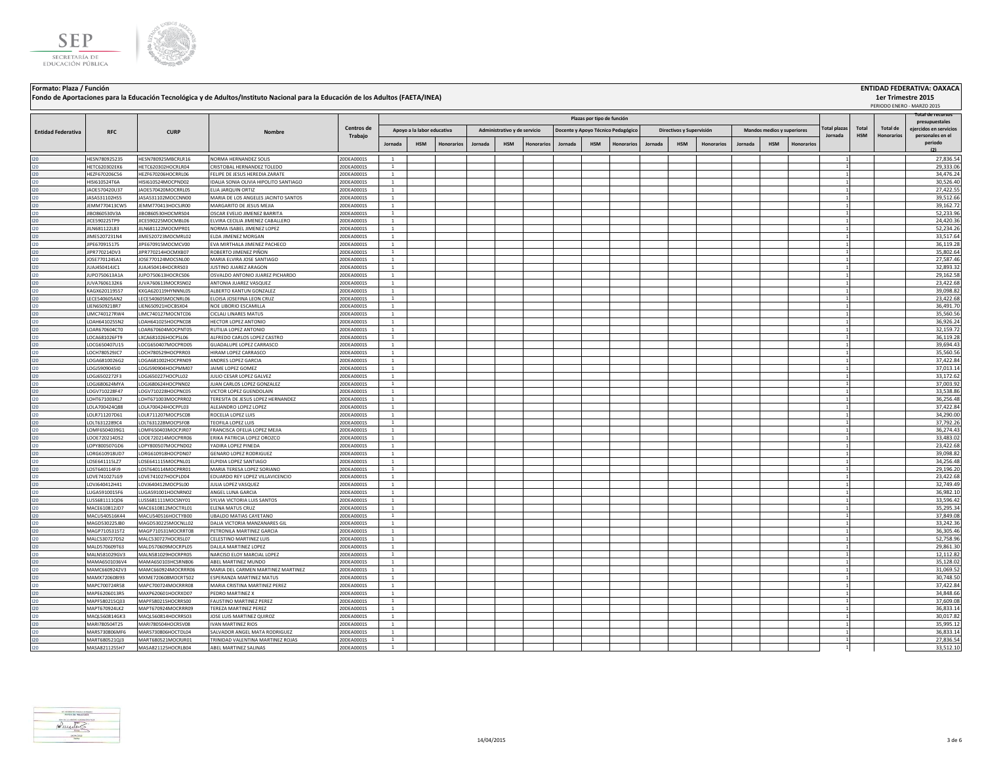

| Formato: Plaza / Función  |            |             |                                                                                                                                   |                   |                            |                              |                                    |                          |                            |                     |         |                    | <b>ENTIDAD FEDERATIVA: OAXACA</b> |
|---------------------------|------------|-------------|-----------------------------------------------------------------------------------------------------------------------------------|-------------------|----------------------------|------------------------------|------------------------------------|--------------------------|----------------------------|---------------------|---------|--------------------|-----------------------------------|
|                           |            |             | Fondo de Aportaciones para la Educación Tecnológica y de Adultos/Instituto Nacional para la Educación de los Adultos (FAETA/INEA) |                   |                            |                              |                                    |                          |                            |                     |         | 1er Trimestre 2015 |                                   |
|                           |            |             |                                                                                                                                   |                   |                            |                              |                                    |                          |                            |                     |         |                    | PERIODO ENERO - MARZO 2015        |
|                           |            |             |                                                                                                                                   |                   |                            |                              | Plazas por tipo de función         |                          |                            |                     |         |                    | l'otal de recursos                |
|                           |            |             |                                                                                                                                   |                   |                            |                              |                                    |                          |                            |                     |         |                    | presupuestales                    |
| <b>Entidad Federativa</b> | <b>RFC</b> | <b>CURI</b> | <b>Nombre</b>                                                                                                                     | <b>Centros de</b> | Apovo a la labor educativa | Administrativo y de servicio | Docente y Apoyo Técnico Pedagógico | Directivos y Supervisión | Mandos medios y superiores | <b>Total plazas</b> | Total I | Total de           | eiercidos en servicios            |
|                           |            |             |                                                                                                                                   | Trabaio           |                            |                              |                                    |                          |                            | Iornada             |         | HSM Honorarios     | nersonales en el                  |

|                           |                                |                                          |                                                               |                          |                                |                            |            |         |                              |            |         |            |                                    |         |                          |                   |         |                            |                   |                     |            |                   | presupuestales         |
|---------------------------|--------------------------------|------------------------------------------|---------------------------------------------------------------|--------------------------|--------------------------------|----------------------------|------------|---------|------------------------------|------------|---------|------------|------------------------------------|---------|--------------------------|-------------------|---------|----------------------------|-------------------|---------------------|------------|-------------------|------------------------|
| <b>Entidad Federativa</b> | <b>RFC</b>                     | <b>CURP</b>                              |                                                               | Centros de               |                                | Apoyo a la labor educativa |            |         | Administrativo y de servicio |            |         |            | Docente y Apoyo Técnico Pedagógico |         | Directivos y Supervisión |                   |         | Mandos medios y superiores |                   | <b>Total plazas</b> | Total      | <b>Total de</b>   | ejercidos en servicios |
|                           |                                |                                          |                                                               | Trabajo                  |                                |                            |            |         |                              |            |         |            |                                    |         |                          |                   |         |                            |                   | Jornada             | <b>HSM</b> | <b>Honorarios</b> | personales en el       |
|                           |                                |                                          |                                                               |                          | Jornada                        | <b>HSM</b>                 | Honorarios | Jornada | <b>HSM</b>                   | Honorarios | Jornada | <b>HSM</b> | <b>Honorarios</b>                  | Jornada | <b>HSM</b>               | <b>Honorarios</b> | Jornada | <b>HSM</b>                 | <b>Honorarios</b> |                     |            |                   | periodo<br>(2)         |
|                           |                                |                                          |                                                               |                          |                                |                            |            |         |                              |            |         |            |                                    |         |                          |                   |         |                            |                   |                     |            |                   |                        |
| 120                       | HESN780925235                  | HESN780925MBCRLR16                       | NORMA HERNANDEZ SOLIS                                         | 20DEA0001S               | <sup>1</sup>                   |                            |            |         |                              |            |         |            |                                    |         |                          |                   |         |                            |                   |                     |            |                   | 27,836.54              |
| 120                       | HETC620302EK6                  | HETC620302HOCRLR04                       | CRISTOBAL HERNANDEZ TOLEDO                                    | 20DEA0001S               | $\mathbf{1}$                   |                            |            |         |                              |            |         |            |                                    |         |                          |                   |         |                            |                   |                     |            |                   | 29,333.06              |
| 120                       | HEZF670206C56                  | HEZF670206HOCRRL06                       | FELIPE DE JESUS HEREDIA ZARATE                                | 20DEA0001S               | <sup>1</sup><br>$\overline{1}$ |                            |            |         |                              |            |         |            |                                    |         |                          |                   |         |                            |                   |                     |            |                   | 34,476.24              |
| 120                       | HISI610524T6A                  | HISI610524MOCPND02                       | IDALIA SONIA OLIVIA HIPOLITO SANTIAGO                         | 20DEA0001S               |                                |                            |            |         |                              |            |         |            |                                    |         |                          |                   |         |                            |                   |                     |            |                   | 30,526.40              |
| 120                       | JA0E570420U37                  | JAOE570420MOCRRL05                       | ELIA JARQUIN ORTIZ                                            | 20DEA0001S               | $\overline{1}$                 |                            |            |         |                              |            |         |            |                                    |         |                          |                   |         |                            |                   |                     |            |                   | 27,422.55              |
| 120                       | JASA531102HS5                  | JASA531102MOCCNN00                       | MARIA DE LOS ANGELES JACINTO SANTOS                           | 20DEA0001S               | $\mathbf{1}$<br><sup>1</sup>   |                            |            |         |                              |            |         |            |                                    |         |                          |                   |         |                            |                   |                     |            |                   | 39,512.66<br>39,162.72 |
| 120                       | JEMM770413CW5                  | JEMM770413HOCSJR00                       | MARGARITO DE JESUS MEJIA                                      | 20DEA0001S               | <sup>1</sup>                   |                            |            |         |                              |            |         |            |                                    |         |                          |                   |         |                            |                   |                     |            |                   |                        |
| 120                       | JIBO860530V3A                  | JIBO860530HOCMRS04<br>JICE590225MOCMBL06 | OSCAR EVELIO JIMENEZ BARRITA                                  | 20DEA0001S<br>20DEA0001S | $\mathbf{1}$                   |                            |            |         |                              |            |         |            |                                    |         |                          |                   |         |                            |                   |                     |            |                   | 52,233.96              |
| 120                       | JICE590225TP9<br>JILN681122L83 | JILN681122MOCMPR01                       | LVIRA CECILIA JIMENEZ CABALLERO<br>NORMA ISABEL JIMENEZ LOPEZ | 20DEA0001S               | $\mathbf{1}$                   |                            |            |         |                              |            |         |            |                                    |         |                          |                   |         |                            |                   |                     |            |                   | 24,420.36<br>52,234.26 |
| 120                       | JIME5207231N4                  | JIME520723MOCMRL02                       | ELDA JIMENEZ MORGAN                                           | 20DEA0001S               | <sup>1</sup>                   |                            |            |         |                              |            |         |            |                                    |         |                          |                   |         |                            |                   |                     |            |                   | 33,517.64              |
| 120<br>120                | JIPE670915175                  | JIPE670915MOCMCV00                       | EVA MIRTHALA JIMENEZ PACHECO                                  | 20DEA0001S               | <sup>1</sup>                   |                            |            |         |                              |            |         |            |                                    |         |                          |                   |         |                            |                   |                     |            |                   | 36,119.28              |
| 120                       | JIPR770214DV3                  | JIPR770214HOCMXB07                       | ROBERTO JIMENEZ PIÑON                                         | 20DEA0001S               | <sup>1</sup>                   |                            |            |         |                              |            |         |            |                                    |         |                          |                   |         |                            |                   |                     |            |                   | 35,802.64              |
| 120                       | JOSE770124SA1                  | JOSE770124MOCSNL00                       | MARIA ELVIRA JOSE SANTIAGO                                    | 20DEA0001S               | <sup>1</sup>                   |                            |            |         |                              |            |         |            |                                    |         |                          |                   |         |                            |                   |                     |            |                   | 27,587.46              |
| 120                       | JUAJ450414JC1                  | JUAJ450414HOCRRS03                       | JUSTINO JUAREZ ARAGON                                         | 20DEA0001S               | $\mathbf{1}$                   |                            |            |         |                              |            |         |            |                                    |         |                          |                   |         |                            |                   |                     |            |                   | 32,893.32              |
| 120                       | JUPO750613A1A                  | JUPO750613HOCRCS06                       | OSVALDO ANTONIO JUAREZ PICHARDO                               | 20DEA0001S               | <sup>1</sup>                   |                            |            |         |                              |            |         |            |                                    |         |                          |                   |         |                            |                   |                     |            |                   | 29,162.58              |
| 120                       | JUVA7606132K6                  | JUVA760613MOCRSN02                       | ANTONIA JUAREZ VASQUEZ                                        | 20DEA0001S               | $\mathbf{1}$                   |                            |            |         |                              |            |         |            |                                    |         |                          |                   |         |                            |                   |                     |            |                   | 23,422.68              |
| 120                       | KAGX620119557                  | KXGA620119HYNNNL05                       | ALBERTO KANTUN GONZALEZ                                       | 20DEA0001S               | <sup>1</sup>                   |                            |            |         |                              |            |         |            |                                    |         |                          |                   |         |                            |                   |                     |            |                   | 39,098.82              |
| 120                       | LECE540605AN2                  | LECE540605MOCNRL06                       | ELOISA JOSEFINA LEON CRUZ                                     | 20DEA0001S               | $\overline{1}$                 |                            |            |         |                              |            |         |            |                                    |         |                          |                   |         |                            |                   |                     |            |                   | 23,422.68              |
| 120                       | LIEN6509218R7                  | LIEN650921HOCBSX04                       | NOE LIBORIO ESCAMILLA                                         | 20DEA0001S               | $\overline{1}$                 |                            |            |         |                              |            |         |            |                                    |         |                          |                   |         |                            |                   |                     |            |                   | 36,491.70              |
| 120                       | LIMC740127RW4                  | LIMC740127MOCNTC06                       | CICLALI LINARES MATUS                                         | 20DEA0001S               | <sup>1</sup>                   |                            |            |         |                              |            |         |            |                                    |         |                          |                   |         |                            |                   |                     |            |                   | 35,560.56              |
| 120                       | LOAH641025SN2                  | LOAH641025HOCPNC08                       | HECTOR LOPEZ ANTONIO                                          | 20DEA0001S               | $\overline{1}$                 |                            |            |         |                              |            |         |            |                                    |         |                          |                   |         |                            |                   |                     |            |                   | 36,926.24              |
| 120                       | LOAR670604CT0                  | LOAR670604MOCPNT05                       | RUTILIA LOPEZ ANTONIO                                         | 20DEA0001S               | <sup>1</sup>                   |                            |            |         |                              |            |         |            |                                    |         |                          |                   |         |                            |                   |                     |            |                   | 32,159.72              |
| 120                       | LOCA681026FT9                  | LXCA681026HOCPSL06                       | ALFREDO CARLOS LOPEZ CASTRO                                   | 20DEA0001S               | $\mathbf{1}$                   |                            |            |         |                              |            |         |            |                                    |         |                          |                   |         |                            |                   |                     |            |                   | 36,119.28              |
| 120                       | LOCG650407U15                  | LOCG650407MOCPRD05                       | GUADALUPE LOPEZ CARRASCO                                      | 20DEA0001S               | $\overline{1}$                 |                            |            |         |                              |            |         |            |                                    |         |                          |                   |         |                            |                   |                     |            |                   | 39,694.43              |
| 120                       | LOCH780529JC7                  | LOCH780529HOCPRR03                       | HIRAM LOPEZ CARRASCO                                          | 20DEA0001S               | <sup>1</sup>                   |                            |            |         |                              |            |         |            |                                    |         |                          |                   |         |                            |                   |                     |            |                   | 35,560.56              |
| 120                       | LOGA6810026G2                  | LOGA681002HOCPRN09                       | ANDRES LOPEZ GARCIA                                           | 20DEA0001S               | <sup>1</sup>                   |                            |            |         |                              |            |         |            |                                    |         |                          |                   |         |                            |                   |                     |            |                   | 37,422.84              |
| 120                       | LOGJ5909045I0                  | LOGJ590904HOCPMM07                       | JAIME LOPEZ GOMEZ                                             | 20DEA0001S               | <sup>1</sup>                   |                            |            |         |                              |            |         |            |                                    |         |                          |                   |         |                            |                   |                     |            |                   | 37,013.14              |
| 120                       | LOGJ6502272F3                  | LOGJ650227HOCPLL02                       | JULIO CESAR LOPEZ GALVEZ                                      | 20DEA0001S               | <sup>1</sup>                   |                            |            |         |                              |            |         |            |                                    |         |                          |                   |         |                            |                   |                     |            |                   | 33,172.62              |
| 120                       | LOGJ680624MYA                  | LOGJ680624HOCPNN02                       | JUAN CARLOS LOPEZ GONZALEZ                                    | 20DEA0001S               | $\overline{1}$                 |                            |            |         |                              |            |         |            |                                    |         |                          |                   |         |                            |                   |                     |            |                   | 37,003.92              |
| 120                       | LOGV710228F47                  | LOGV710228HOCPNC05                       | VICTOR LOPEZ GUENDOLAIN                                       | 20DEA0001S               | <sup>1</sup>                   |                            |            |         |                              |            |         |            |                                    |         |                          |                   |         |                            |                   |                     |            |                   | 33,538.86              |
| 120                       | LOHT671003KL7                  | LOHT671003MOCPRR02                       | TERESITA DE JESUS LOPEZ HERNANDEZ                             | 20DEA0001S               | <sup>1</sup>                   |                            |            |         |                              |            |         |            |                                    |         |                          |                   |         |                            |                   |                     |            |                   | 36,256.48              |
| 120                       | LOLA700424Q88                  | LOLA700424HOCPPL03                       | ALEJANDRO LOPEZ LOPEZ                                         | 20DEA0001S               | <sup>1</sup>                   |                            |            |         |                              |            |         |            |                                    |         |                          |                   |         |                            |                   |                     |            |                   | 37,422.84              |
| 120                       | LOLR711207D61                  | LOLR711207MOCPSC08                       | ROCELIA LOPEZ LUIS                                            | 20DEA0001S               | <sup>1</sup>                   |                            |            |         |                              |            |         |            |                                    |         |                          |                   |         |                            |                   |                     |            |                   | 34,290.00              |
| 120                       | LOLT6312289C4                  | LOLT631228MOCPSF08                       | TEOFILA LOPEZ LUIS                                            | 20DEA0001S               | $\overline{1}$                 |                            |            |         |                              |            |         |            |                                    |         |                          |                   |         |                            |                   |                     |            |                   | 37,792.26              |
| 120                       | LOMF6504039G1                  | LOMF650403MOCPJR07                       | FRANCISCA OFELIA LOPEZ MEJIA                                  | 20DEA0001S               | $\overline{1}$                 |                            |            |         |                              |            |         |            |                                    |         |                          |                   |         |                            |                   |                     |            |                   | 36,274.43              |
| 120                       | LOOE720214DS2                  | LOOE720214MOCPRR06                       | ERIKA PATRICIA LOPEZ OROZCO                                   | 20DEA0001S               | $\mathbf{1}$                   |                            |            |         |                              |            |         |            |                                    |         |                          |                   |         |                            |                   |                     |            |                   | 33,483.02              |
| 120                       | LOPY800507GD6                  | LOPY800507MOCPND02                       | YADIRA LOPEZ PINEDA                                           | 20DEA0001S               | $\overline{1}$                 |                            |            |         |                              |            |         |            |                                    |         |                          |                   |         |                            |                   |                     |            |                   | 23,422.68              |
| 120                       | LORG610918UD7                  | LORG610918HOCPDN07                       | <b>GENARO LOPEZ RODRIGUEZ</b>                                 | 20DEA0001S               | <sup>1</sup>                   |                            |            |         |                              |            |         |            |                                    |         |                          |                   |         |                            |                   |                     |            |                   | 39,098.82              |
| 120                       | LOSE641115LZ7                  | LOSE641115MOCPNL01                       | ELPIDIA LOPEZ SANTIAGO                                        | 20DEA0001S               | $\mathbf{1}$                   |                            |            |         |                              |            |         |            |                                    |         |                          |                   |         |                            |                   |                     |            |                   | 34,256.48              |
| 120                       | LOST640114FJ9                  | LOST640114MOCPRR01                       | MARIA TERESA LOPEZ SORIANO                                    | 20DEA0001S               | $\overline{1}$                 |                            |            |         |                              |            |         |            |                                    |         |                          |                   |         |                            |                   |                     |            |                   | 29,196.20              |
| 120                       | LOVE741027LG9                  | LOVE741027HOCPLD04                       | EDUARDO REY LOPEZ VILLAVICENCIO                               | 20DEA0001S               | <sup>1</sup>                   |                            |            |         |                              |            |         |            |                                    |         |                          |                   |         |                            |                   |                     |            |                   | 23,422.68              |
| 120                       | LOVJ640412H41                  | LOVJ640412MOCPSL00                       | JULIA LOPEZ VASQUEZ                                           | 20DEA0001S               | $\mathbf{1}$                   |                            |            |         |                              |            |         |            |                                    |         |                          |                   |         |                            |                   |                     |            |                   | 32,749.49              |
| 120                       | LUGA5910015F6                  | LUGA591001HOCNRN02                       | ANGEL LUNA GARCIA                                             | 20DEA0001S               | <sup>1</sup>                   |                            |            |         |                              |            |         |            |                                    |         |                          |                   |         |                            |                   |                     |            |                   | 36,982.10              |
| 120                       | LUSS681111QD6                  | LUSS681111MOCSNY01                       | SYLVIA VICTORIA LUIS SANTOS                                   | 20DEA0001S               | <sup>1</sup>                   |                            |            |         |                              |            |         |            |                                    |         |                          |                   |         |                            |                   |                     |            |                   | 33,596.42              |
| 120                       | MACE610812JD7                  | MACE610812MOCTRL01                       | ELENA MATUS CRUZ                                              | 20DEA0001S               | $\overline{1}$                 |                            |            |         |                              |            |         |            |                                    |         |                          |                   |         |                            |                   |                     |            |                   | 35,295.34              |
| 120                       | MACU540516K44                  | MACU540516HOCTYB00                       | <b>UBALDO MATIAS CAYETANO</b>                                 | 20DEA0001S               | $\mathbf{1}$                   |                            |            |         |                              |            |         |            |                                    |         |                          |                   |         |                            |                   |                     |            |                   | 37,849.08              |
| 120                       | MAGD530225JB0                  | MAGD530225MOCNLL02                       | DALIA VICTORIA MANZANARES GIL                                 | 20DEA0001S               | $\mathbf{1}$                   |                            |            |         |                              |            |         |            |                                    |         |                          |                   |         |                            |                   |                     |            |                   | 33,242.36              |
| 120                       | MAGP710531ST2                  | MAGP710531MOCRRT08                       | PETRONILA MARTINEZ GARCIA                                     | 20DEA0001S               | <sup>1</sup>                   |                            |            |         |                              |            |         |            |                                    |         |                          |                   |         |                            |                   |                     |            |                   | 36,305.46              |
| 120                       | MALC530727D52                  | MALC530727HOCRSL07                       | CELESTINO MARTINEZ LUIS                                       | 20DEA0001S               | <sup>1</sup>                   |                            |            |         |                              |            |         |            |                                    |         |                          |                   |         |                            |                   |                     |            |                   | 52,758.96              |
| 120                       | MALD570609T63                  | MALD570609MOCRPL05                       | DALILA MARTINEZ LOPEZ                                         | 20DEA0001S               | $\mathbf{1}$                   |                            |            |         |                              |            |         |            |                                    |         |                          |                   |         |                            |                   |                     |            |                   | 29,861.30              |
| 120                       | MALN581029GV3                  | MALN581029HOCRPR05                       | NARCISO ELOY MARCIAL LOPEZ                                    | 20DEA0001S               | $\overline{1}$                 |                            |            |         |                              |            |         |            |                                    |         |                          |                   |         |                            |                   |                     |            |                   | 12,112.82              |
| 120                       | MAMA6501036V4                  | MAMA650103HCSRNB06                       | ABEL MARTINEZ MUNDO                                           | 20DEA0001S               | $\mathbf{1}$                   |                            |            |         |                              |            |         |            |                                    |         |                          |                   |         |                            |                   |                     |            |                   | 35,128.02              |
| 120                       | MAMC6609242V3                  | MAMC660924MOCRRR06                       | MARIA DEL CARMEN MARTINEZ MARTINEZ                            | 20DEA0001S               | <sup>1</sup>                   |                            |            |         |                              |            |         |            |                                    |         |                          |                   |         |                            |                   |                     |            |                   | 31,069.52              |
| 120                       | MAMX720608l93                  | MXME720608MOCRTS02                       | ESPERANZA MARTINEZ MATUS                                      | 20DEA0001S               | $\mathbf{1}$                   |                            |            |         |                              |            |         |            |                                    |         |                          |                   |         |                            |                   |                     |            |                   | 30,748.50              |
| 120                       | MAPC700724R58                  | MAPC700724MOCRRR08                       | MARIA CRISTINA MARTINEZ PEREZ                                 | 20DEA0001S               | $\mathbf{1}$                   |                            |            |         |                              |            |         |            |                                    |         |                          |                   |         |                            |                   |                     |            |                   | 37,422.84              |
| 120                       | MAPE6206013R5                  | MAXP620601HOCRXD07                       | PEDRO MARTINEZ X                                              | 20DEA0001S               | $\overline{1}$                 |                            |            |         |                              |            |         |            |                                    |         |                          |                   |         |                            |                   |                     |            |                   | 34,848.66              |
| 120                       | MAPF580215Q33                  | MAPF580215HOCRRS00                       | <b>FAUSTINO MARTINEZ PEREZ</b>                                | 20DEA0001S               | $\mathbf{1}$                   |                            |            |         |                              |            |         |            |                                    |         |                          |                   |         |                            |                   |                     |            |                   | 37,609.08              |
| 120                       | MAPT670924LK2                  | MAPT670924MOCRRR09                       | TEREZA MARTINEZ PEREZ                                         | 20DEA0001S               | $\mathbf{1}$                   |                            |            |         |                              |            |         |            |                                    |         |                          |                   |         |                            |                   |                     |            |                   | 36,833.14              |
| 120                       | MAQL560814GK3                  | MAQL560814HOCRRS03                       | JOSE LUIS MARTINEZ QUIROZ                                     | 20DEA0001S               | <sup>1</sup>                   |                            |            |         |                              |            |         |            |                                    |         |                          |                   |         |                            |                   |                     |            |                   | 30,017.82              |
| 120                       | MARI780504T25                  | MARI780504HOCRSV08                       | <b>IVAN MARTINEZ RIOS</b>                                     | 20DEA0001S               | $\overline{1}$                 |                            |            |         |                              |            |         |            |                                    |         |                          |                   |         |                            |                   |                     |            |                   | 35,995.12              |
| 120                       | MARS730806MF6                  | MARS730806HOCTDL04                       | SALVADOR ANGEL MATA RODRIGUEZ                                 | 20DEA0001S               | $\overline{1}$                 |                            |            |         |                              |            |         |            |                                    |         |                          |                   |         |                            |                   |                     |            |                   | 36,833.14              |
| 120                       | MART680521QJ3                  | MART680521MOCRJR01                       | TRINIDAD VALENTINA MARTINEZ ROJAS                             | 20DEA0001S               | $\mathbf{1}$                   |                            |            |         |                              |            |         |            |                                    |         |                          |                   |         |                            |                   |                     |            |                   | 27,836.54              |
| 12C                       | MASA8211255H7                  | MASA821125HOCRLB04                       | ABEL MARTINEZ SALINAS                                         | 20DEA0001S               | <sup>1</sup>                   |                            |            |         |                              |            |         |            |                                    |         |                          |                   |         |                            |                   |                     |            |                   | 33,512.10              |

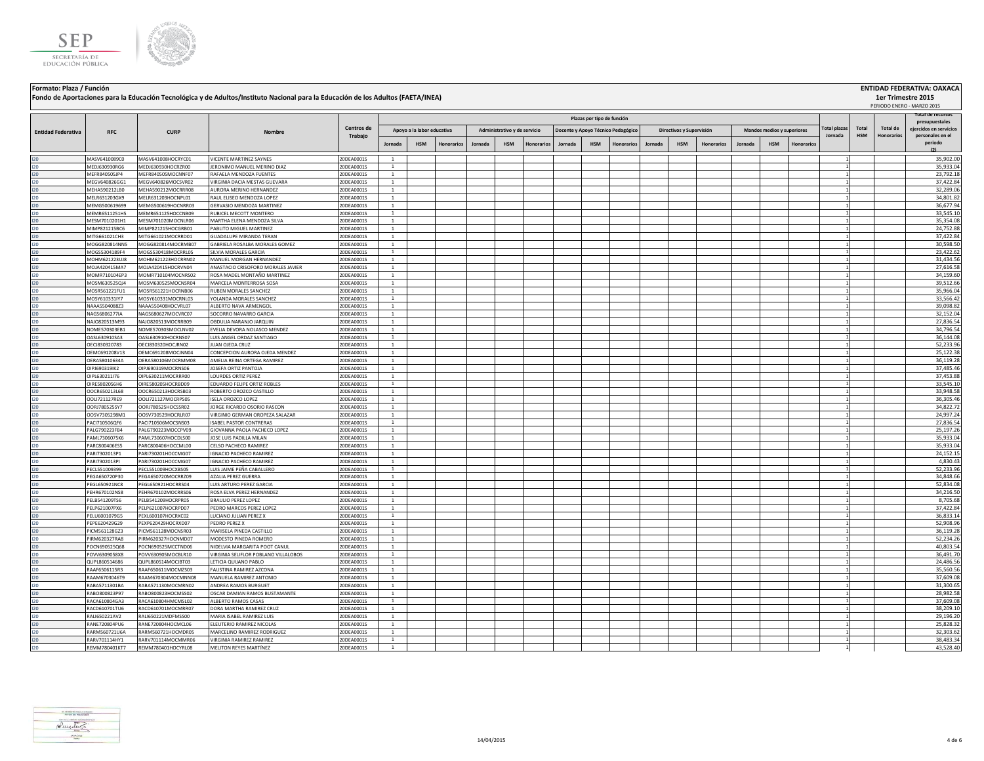



## **Formato: Plaza / Función ENTIDAD FEDERATIVA: OAXACA Fondo de Aportaciones para la Educación Tecnológica y de Adultos/Instituto Nacional para la Educación de los Adultos (FAETA/INEA)**

|                           |                                |                                          |                                                               |                          |                              |                            |                   |         |                              |                   |         |                            |                                    |         |                          |                   |         |                            |            |                     |            |                 | PERIODO ENERO - MARZO 2015          |
|---------------------------|--------------------------------|------------------------------------------|---------------------------------------------------------------|--------------------------|------------------------------|----------------------------|-------------------|---------|------------------------------|-------------------|---------|----------------------------|------------------------------------|---------|--------------------------|-------------------|---------|----------------------------|------------|---------------------|------------|-----------------|-------------------------------------|
|                           |                                |                                          |                                                               |                          |                              |                            |                   |         |                              |                   |         | Plazas por tipo de función |                                    |         |                          |                   |         |                            |            |                     |            |                 | Total de recursos<br>presupuestales |
|                           | <b>RFC</b>                     | <b>CURP</b>                              | Nombre                                                        | Centros de               |                              | Apoyo a la labor educativa |                   |         | Administrativo y de servicio |                   |         |                            | Docente y Apoyo Técnico Pedagógico |         | Directivos y Supervisión |                   |         | Mandos medios y superiores |            | <b>Total plazas</b> | Total      | <b>Total de</b> | eiercidos en servicios              |
| <b>Entidad Federativa</b> |                                |                                          |                                                               | Trabajo                  |                              |                            |                   |         |                              |                   |         |                            |                                    |         |                          |                   |         |                            |            | Jornada             | <b>HSM</b> | Honorarios      | personales en el                    |
|                           |                                |                                          |                                                               |                          | Jornada                      | <b>HSM</b>                 | <b>Honorarios</b> | Jornada | <b>HSM</b>                   | <b>Honorarios</b> | Jornada | <b>HSM</b>                 | <b>Honorarios</b>                  | Jornada | <b>HSM</b>               | <b>Honorarios</b> | Jornada | <b>HSM</b>                 | Honorario: |                     |            |                 | periodo<br>(2)                      |
| $120 -$                   | MASV6410089C0                  | MASV641008HOCRYC01                       | <b>VICENTE MARTINEZ SAYNES</b>                                | 20DEA0001S               | -1                           |                            |                   |         |                              |                   |         |                            |                                    |         |                          |                   |         |                            |            | $\overline{1}$      |            |                 | 35,902.00                           |
| 120                       | MEDJ630930RG6                  | MEDJ630930HOCRZR00                       | JERONIMO MANUEL MERINO DIAZ                                   | 20DEA0001S               | 1                            |                            |                   |         |                              |                   |         |                            |                                    |         |                          |                   |         |                            |            | $\overline{1}$      |            |                 | 35,933.04                           |
| 120                       | MFFR840505JP4                  | MEFR840505MOCNNF07                       | RAFAELA MENDOZA FUENTES                                       | 20DEA0001S               | 1                            |                            |                   |         |                              |                   |         |                            |                                    |         |                          |                   |         |                            |            |                     |            |                 | 23,792.18                           |
| 120                       | MEGV640826GG1                  | MEGV640826MOCSVR02                       | VIRGINIA DACIA MESTAS GUEVARA                                 | 20DEA0001S               | $\mathbf{1}$                 |                            |                   |         |                              |                   |         |                            |                                    |         |                          |                   |         |                            |            |                     |            |                 | 37,422.84                           |
| 120<br>120                | MEHA590212LB0                  | MEHA590212MOCRRR08                       | AURORA MERINO HERNANDEZ                                       | 20DEA0001S               | $\mathbf{1}$<br>$\mathbf{1}$ |                            |                   |         |                              |                   |         |                            |                                    |         |                          |                   |         |                            |            |                     |            |                 | 32,289.06                           |
| 120                       | MELR631203GX9<br>MEMG500619699 | MELR631203HOCNPL01<br>MEMG500619HOCNRR03 | RAUL ELISEO MENDOZA LOPEZ<br>GERVASIO MENDOZA MARTINEZ        | 20DEA0001S<br>20DEA0001S | <sup>1</sup>                 |                            |                   |         |                              |                   |         |                            |                                    |         |                          |                   |         |                            |            |                     |            |                 | 34,801.82<br>36,677.94              |
| 120                       | MEMR6511251H5                  | MEMR651125HOCCNB09                       | RUBICEL MECOTT MONTERO                                        | 20DEA0001S               | $\mathbf{1}$                 |                            |                   |         |                              |                   |         |                            |                                    |         |                          |                   |         |                            |            |                     |            |                 | 33,545.10                           |
| 120                       | MFSM7010201H1                  | MESM701020MOCNLR06                       | MARTHA ELENA MENDOZA SILVA                                    | 20DEA0001S               | $\overline{1}$               |                            |                   |         |                              |                   |         |                            |                                    |         |                          |                   |         |                            |            | -1                  |            |                 | 35,354.08                           |
| 120                       | MIMP821215BC6                  | MIMP821215HOCGRB01                       | PABLITO MIGUEL MARTINEZ                                       | 20DEA0001S               | <sup>1</sup>                 |                            |                   |         |                              |                   |         |                            |                                    |         |                          |                   |         |                            |            |                     |            |                 | 24,752.88                           |
| 120                       | MITG661021CH3                  | MITG661021MOCRRD01                       | <b>GUADALUPE MIRANDA TERAN</b>                                | 20DEA0001S               | $\mathbf{1}$                 |                            |                   |         |                              |                   |         |                            |                                    |         |                          |                   |         |                            |            | $\mathbf{1}$        |            |                 | 37,422.84                           |
| 120                       | MOGG820814NN5                  | MOGG820814MOCRMB07                       | GABRIELA ROSALBA MORALES GOMEZ                                | 20DEA0001S               | <sup>1</sup>                 |                            |                   |         |                              |                   |         |                            |                                    |         |                          |                   |         |                            |            |                     |            |                 | 30,598.50                           |
| $120 -$<br>120            | MOGS5304189F4                  | MOGS530418MOCRRL05                       | SILVIA MORALES GARCIA                                         | 20DEA0001S               | $\mathbf{1}$<br>$1$ $\,$     |                            |                   |         |                              |                   |         |                            |                                    |         |                          |                   |         |                            |            |                     |            |                 | 23,422.62<br>31,434.56              |
| 120                       | MOHM621223UJ8<br>MOJA420415MA7 | MOHM621223HOCRRN02<br>MOJA420415HOCRVN04 | MANUEL MORGAN HERNANDEZ<br>ANASTACIO CRISOFORO MORALES JAVIER | 20DEA0001S<br>20DEA0001S | $\mathbf{1}$                 |                            |                   |         |                              |                   |         |                            |                                    |         |                          |                   |         |                            |            |                     |            |                 | 27,616.58                           |
| 120                       | MOMR710104EP3                  | MOMR710104MOCNRS02                       | ROSA MADEL MONTAÑO MARTINEZ                                   | 20DEA0001S               | $\mathbf{1}$                 |                            |                   |         |                              |                   |         |                            |                                    |         |                          |                   |         |                            |            |                     |            |                 | 34,159.60                           |
| 120                       | MOSM630525QJ4                  | MOSM630525MOCNSR04                       | MARCELA MONTERROSA SOSA                                       | 20DEA0001S               | <sup>1</sup>                 |                            |                   |         |                              |                   |         |                            |                                    |         |                          |                   |         |                            |            |                     |            |                 | 39,512.66                           |
| 120                       | MOSR561221FU1                  | MOSR561221HOCRNB06                       | RUBEN MORALES SANCHEZ                                         | 20DEA0001S               | 1                            |                            |                   |         |                              |                   |         |                            |                                    |         |                          |                   |         |                            |            |                     |            |                 | 35,966.04                           |
| 120                       | MOSY610331IY7                  | MOSY610331MOCRNL03                       | YOLANDA MORALES SANCHEZ                                       | 20DEA0001S               | $\mathbf{1}$                 |                            |                   |         |                              |                   |         |                            |                                    |         |                          |                   |         |                            |            |                     |            |                 | 33,566.42                           |
| 120                       | NAAA5504088Z3                  | NAAA550408HOCVRL07                       | ALBERTO NAVA ARMENGOL                                         | 20DEA0001S               | <sup>1</sup>                 |                            |                   |         |                              |                   |         |                            |                                    |         |                          |                   |         |                            |            | $\mathbf{1}$        |            |                 | 39,098.82                           |
| 120<br>120                | NAGS6806277IA                  | NAGS680627MOCVRC07                       | SOCORRO NAVARRO GARCIA                                        | 20DEA0001S               | <sup>1</sup><br>$\mathbf{1}$ |                            |                   |         |                              |                   |         |                            |                                    |         |                          |                   |         |                            |            |                     |            |                 | 32,152.04<br>27,836.54              |
| 120                       | NAJO820513M93<br>NOME570303EB1 | NAJO820513MOCRRB09<br>NOME570303MOCLNV02 | OBDULIA NARANJO JARQUIN<br>EVELIA DEVORA NOLASCO MENDEZ       | 20DEA0001S<br>20DEA0001S | $\mathbf{1}$                 |                            |                   |         |                              |                   |         |                            |                                    |         |                          |                   |         |                            |            |                     |            |                 | 34,796.54                           |
| 120                       | OASL630910SA3                  | OASL630910HOCRNS07                       | LUIS ANGEL ORDAZ SANTIAGO                                     | 20DEA0001S               | <sup>1</sup>                 |                            |                   |         |                              |                   |         |                            |                                    |         |                          |                   |         |                            |            |                     |            |                 | 36,144.08                           |
| 120                       | OFCI830320783                  | OECJ830320HOCJRN02                       | <b>IUAN OIFDA CRUZ</b>                                        | 20DEA0001S               | $\mathbf{1}$                 |                            |                   |         |                              |                   |         |                            |                                    |         |                          |                   |         |                            |            |                     |            |                 | 52.233.96                           |
| 120                       | OEMC691208V13                  | OEMC691208MOCINN04                       | CONCEPCION AURORA OJEDA MENDEZ                                | 20DEA0001S               | $\mathbf{1}$                 |                            |                   |         |                              |                   |         |                            |                                    |         |                          |                   |         |                            |            |                     |            |                 | 25,122.38                           |
| 120                       | OERA58010634A                  | OERA580106MOCRMM08                       | AMELIA REINA ORTEGA RAMIREZ                                   | 20DEA0001S               | <sup>1</sup>                 |                            |                   |         |                              |                   |         |                            |                                    |         |                          |                   |         |                            |            | $\mathbf{1}$        |            |                 | 36,119.28                           |
| 120                       | OIPJ690319IK2                  | OIPJ690319MOCRNS06                       | JOSEFA ORTIZ PANTOJA                                          | 20DEA0001S               | <sup>1</sup>                 |                            |                   |         |                              |                   |         |                            |                                    |         |                          |                   |         |                            |            |                     |            |                 | 37,485.46                           |
| 120<br>120                | OIPL630211I76                  | OIPL630211MOCRRR00                       | LOURDES ORTIZ PEREZ                                           | 20DEA0001S               | $\mathbf{1}$<br>$\mathbf{1}$ |                            |                   |         |                              |                   |         |                            |                                    |         |                          |                   |         |                            |            |                     |            |                 | 37,453.88                           |
| 120                       | OIRE5802056H6<br>OOCR650213L68 | OIRE580205HOCRBD09<br>OOCR650213HOCRSB03 | EDUARDO FELIPE ORTIZ ROBLES<br>ROBERTO OROZCO CASTILLO        | 20DEA0001S<br>20DEA0001S | $\mathbf{1}$                 |                            |                   |         |                              |                   |         |                            |                                    |         |                          |                   |         |                            |            |                     |            |                 | 33,545.10<br>33,948.58              |
| 120                       | OOL1721127RE9                  | OOLI721127MOCRPS05                       | <b>ISELA OROZCO LOPEZ</b>                                     | 20DEA0001S               | $\mathbf{1}$                 |                            |                   |         |                              |                   |         |                            |                                    |         |                          |                   |         |                            |            |                     |            |                 | 36,305.46                           |
| 120                       | OORJ780525SY7                  | OORJ780525HOCSSR02                       | JORGE RICARDO OSORIO RASCON                                   | 20DEA0001S               | <sup>1</sup>                 |                            |                   |         |                              |                   |         |                            |                                    |         |                          |                   |         |                            |            |                     |            |                 | 34,822.72                           |
| 120                       | OOSV7305298M1                  | OOSV730529HOCRLB07                       | VIRGINIO GERMAN OROPEZA SALAZAR                               | 20DEA0001S               | 1                            |                            |                   |         |                              |                   |         |                            |                                    |         |                          |                   |         |                            |            |                     |            |                 | 24.997.24                           |
| 120                       | PAC1710506QF6                  | PACI710506MOCSNS03                       | <b>ISABEL PASTOR CONTRERAS</b>                                | 20DEA0001S               | <sup>1</sup>                 |                            |                   |         |                              |                   |         |                            |                                    |         |                          |                   |         |                            |            | $\overline{1}$      |            |                 | 27,836.54                           |
| 120                       | PALG790223FB4                  | PALG790223MOCCPV09                       | GIOVANNA PAOLA PACHECO LOPEZ                                  | 20DEA0001S               | $\mathbf{1}$                 |                            |                   |         |                              |                   |         |                            |                                    |         |                          |                   |         |                            |            |                     |            |                 | 25,197.26                           |
| 120<br>120                | PAML7306075K6<br>PARC800406ES5 | PAML730607HOCDLS00<br>PARC800406HOCCML00 | JOSE LUIS PADILLA MILAN<br>CELSO PACHECO RAMIREZ              | 20DEA0001S<br>20DEA0001S | $\mathbf{1}$<br>$\mathbf{1}$ |                            |                   |         |                              |                   |         |                            |                                    |         |                          |                   |         |                            |            |                     |            |                 | 35.933.04<br>35.933.04              |
| 120                       | PARI7302013P1                  | PARI730201HOCCMG07                       | IGNACIO PACHECO RAMIREZ                                       | 20DEA0001S               | $\mathbf{1}$                 |                            |                   |         |                              |                   |         |                            |                                    |         |                          |                   |         |                            |            |                     |            |                 | 24,152.1                            |
| 120                       | PARI7302013PI                  | PARI730201HOCCMG07                       | IGNACIO PACHECO RAMIREZ                                       | 20DEA0001S               | $\mathbf{1}$                 |                            |                   |         |                              |                   |         |                            |                                    |         |                          |                   |         |                            |            |                     |            |                 | 4,830.4                             |
| 120                       | ECL551009399                   | PECL551009HOCXBS05                       | LUIS JAIME PEÑA CABALLERO                                     | 20DEA0001S               | $\mathbf{1}$                 |                            |                   |         |                              |                   |         |                            |                                    |         |                          |                   |         |                            |            |                     |            |                 | 52,233.9                            |
| 120                       | PEGA650720P30                  | PEGA650720MOCRRZ09                       | AZALIA PEREZ GUERRA                                           | 20DEA0001S               | <sup>1</sup>                 |                            |                   |         |                              |                   |         |                            |                                    |         |                          |                   |         |                            |            |                     |            |                 | 34.848.66                           |
| 120                       | PEGL650921NC8                  | PEGL650921HOCRRS04                       | LUIS ARTURO PEREZ GARCIA                                      | 20DEA0001S               | <sup>1</sup>                 |                            |                   |         |                              |                   |         |                            |                                    |         |                          |                   |         |                            |            |                     |            |                 | 52,834.08                           |
| 120                       | PEHR670102NS8                  | PEHR670102MOCRRS06                       | ROSA ELVA PEREZ HERNANDEZ                                     | 20DEA0001S               | <sup>1</sup>                 |                            |                   |         |                              |                   |         |                            |                                    |         |                          |                   |         |                            |            |                     |            |                 | 34,216.50                           |
| 120<br>120                | PELB541209TS6<br>PELP621007PX6 | PELB541209HOCRPR05<br>PELP621007HOCRPD07 | <b>BRAULIO PEREZ LOPEZ</b><br>PEDRO MARCOS PEREZ LOPEZ        | 20DEA0001S<br>20DEA0001S | <sup>1</sup><br>$\mathbf{1}$ |                            |                   |         |                              |                   |         |                            |                                    |         |                          |                   |         |                            |            | $\mathbf{1}$        |            |                 | 8,705.68<br>37,422.84               |
| $120 -$                   | PELU6001079G5                  | PEXL600107HOCRXC02                       | LUCIANO JULIAN PEREZ X                                        | 20DEA0001S               | $\mathbf{1}$                 |                            |                   |         |                              |                   |         |                            |                                    |         |                          |                   |         |                            |            |                     |            |                 | 36,833.14                           |
| 120                       | PEPE620429G29                  | PEXP620429HOCRXD07                       | PEDRO PEREZ X                                                 | 20DEA0001S               | $1\,$                        |                            |                   |         |                              |                   |         |                            |                                    |         |                          |                   |         |                            |            |                     |            |                 | 52,908.96                           |
| $120 -$                   | PICM561128GZ3                  | PICM561128MOCNSR03                       | MARISELA PINEDA CASTILLO                                      | 20DEA0001S               | $\mathbf{1}$                 |                            |                   |         |                              |                   |         |                            |                                    |         |                          |                   |         |                            |            |                     |            |                 | 36,119.28                           |
| 120                       | PIRM620327RA8                  | PIRM620327HOCNMD07                       | MODESTO PINEDA ROMERO                                         | 20DEA0001S               | <sup>1</sup>                 |                            |                   |         |                              |                   |         |                            |                                    |         |                          |                   |         |                            |            |                     |            |                 | 52,234.26                           |
| 120                       | POCN690525Q68                  | POCN690525MCCTND06                       | NIDELVIA MARGARITA POOT CANUL                                 | 20DEA0001S               | $\mathbf{1}$                 |                            |                   |         |                              |                   |         |                            |                                    |         |                          |                   |         |                            |            |                     |            |                 | 40,803.54                           |
| 120                       | POVV6309058X8                  | POVV630905MOCBLR10                       | VIRGINIA SELIFLOR POBLANO VILLALOBOS                          | 20DEA0001S               | 1                            |                            |                   |         |                              |                   |         |                            |                                    |         |                          |                   |         |                            |            |                     |            |                 | 36,491.70                           |
| 120<br>120                | QUPL860514686<br>RAAF6506115R3 | QUPL860514MOCJBT03<br>RAAF650611MOCMZS03 | LETICIA QUIJANO PABLO<br>FAUSTINA RAMIREZ AZCONA              | 20DEA0001S<br>20DEA0001S | $\mathbf{1}$<br>$\mathbf{1}$ |                            |                   |         |                              |                   |         |                            |                                    |         |                          |                   |         |                            |            |                     |            |                 | 24,486.56<br>35,560.56              |
| 120                       | RAAM6703046T9                  | RAAM670304MOCMNN08                       | MANUELA RAMIREZ ANTONIO                                       | 20DEA0001S               | $\mathbf{1}$                 |                            |                   |         |                              |                   |         |                            |                                    |         |                          |                   |         |                            |            |                     |            |                 | 37,609.08                           |
| 120                       | RABA5711301BA                  | RABA571130MOCMRN02                       | ANDREA RAMOS BURGUET                                          | 20DEA0001S               | $\mathbf{1}$                 |                            |                   |         |                              |                   |         |                            |                                    |         |                          |                   |         |                            |            |                     |            |                 | 31,300.6                            |
| 120                       | RABO800823P97                  | RABO800823HOCMSS02                       | OSCAR DAMIAN RAMOS BUSTAMANTE                                 | 20DEA0001S               | $\mathbf{1}$                 |                            |                   |         |                              |                   |         |                            |                                    |         |                          |                   |         |                            |            |                     |            |                 | 28,982.58                           |
| 120                       | RACA610804GA3                  | RACA610804HMCMSL02                       | ALBERTO RAMOS CASAS                                           | 20DEA0001S               | 1                            |                            |                   |         |                              |                   |         |                            |                                    |         |                          |                   |         |                            |            |                     |            |                 | 37,609.08                           |
| 120                       | RACD610701TU6                  | RACD610701MOCMRR07                       | DORA MARTHA RAMIREZ CRUZ                                      | 20DEA0001S               | 1                            |                            |                   |         |                              |                   |         |                            |                                    |         |                          |                   |         |                            |            |                     |            |                 | 38,209.10                           |
| 120                       | RALI650221AV2                  | RALI650221MDFMSS00                       | MARIA ISABEL RAMIREZ LUIS                                     | 20DEA0001S               | <sup>1</sup>                 |                            |                   |         |                              |                   |         |                            |                                    |         |                          |                   |         |                            |            |                     |            |                 | 29,196.20                           |
| 120<br>120                | RANE720804PU6<br>RARM560721U6A | RANE720804HOCMCL06<br>RARM560721HOCMDR05 | ELEUTERIO RAMIREZ NICOLAS<br>MARCELINO RAMIREZ RODRIGUEZ      | 20DEA0001S<br>20DEA0001S | $\mathbf{1}$<br>$\mathbf{1}$ |                            |                   |         |                              |                   |         |                            |                                    |         |                          |                   |         |                            |            |                     |            |                 | 25,828.32<br>32,303.62              |
| $120 -$                   | RARV701114HY1                  | RARV701114MOCMMR06                       | VIRGINIA RAMIREZ RAMIREZ                                      | 20DEA0001S               | $\mathbf{1}$                 |                            |                   |         |                              |                   |         |                            |                                    |         |                          |                   |         |                            |            |                     |            |                 | 38,483.34                           |
| 120                       | REMM780401KT7                  | REMM780401HOCYRL08                       | MELITON REYES MARTÍNEZ                                        | 20DEA0001S               | $\overline{1}$               |                            |                   |         |                              |                   |         |                            |                                    |         |                          |                   |         |                            |            |                     |            |                 | 43,528.40                           |

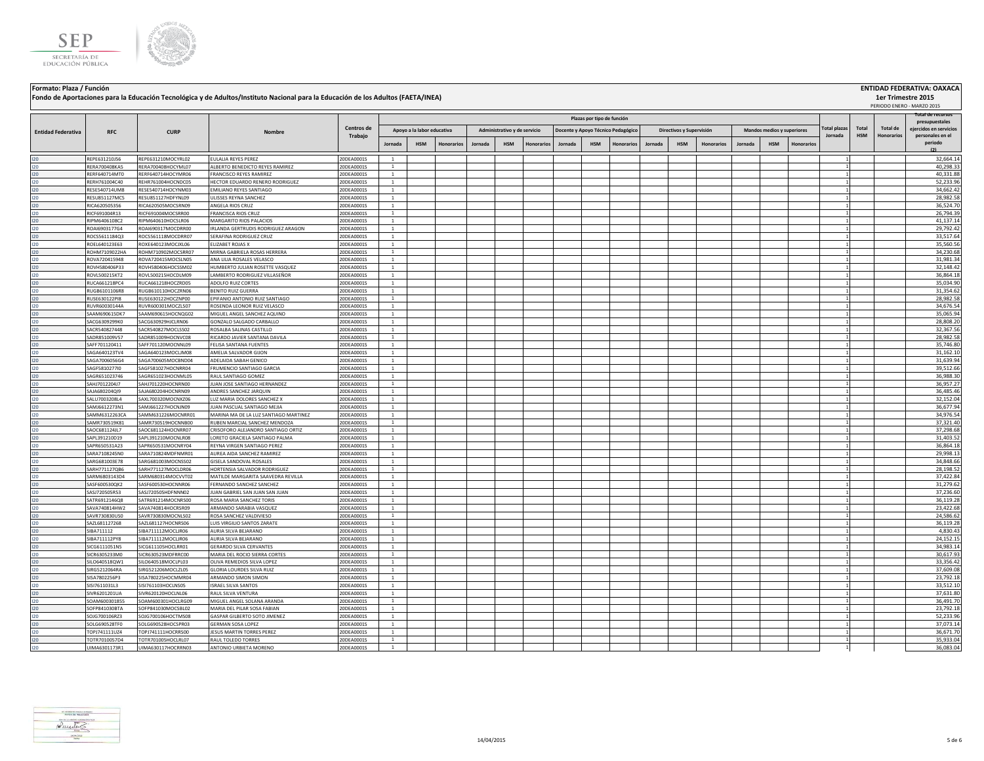



## **Formato: Plaza / Función ENTIDAD FEDERATIVA: OAXACA Fondo de Aportaciones para la Educación Tecnológica y de Adultos/Instituto Nacional para la Educación de los Adultos (FAETA/INEA)**

|                           |                                |                                          |                                                                    |                          |                              |                            |                   |         |                              |                   |                                    |                            |            |         |                          |                   |         |                            |                   |                    |            |                 | PERIODO ENERO - MARZO 2015               |
|---------------------------|--------------------------------|------------------------------------------|--------------------------------------------------------------------|--------------------------|------------------------------|----------------------------|-------------------|---------|------------------------------|-------------------|------------------------------------|----------------------------|------------|---------|--------------------------|-------------------|---------|----------------------------|-------------------|--------------------|------------|-----------------|------------------------------------------|
|                           |                                |                                          |                                                                    |                          |                              |                            |                   |         |                              |                   |                                    | Plazas por tipo de función |            |         |                          |                   |         |                            |                   |                    |            |                 | Total de recursos                        |
|                           |                                |                                          |                                                                    | <b>Centros de</b>        |                              |                            |                   |         |                              |                   |                                    |                            |            |         |                          |                   |         |                            |                   | <b>Total plaza</b> | Total      | <b>Total de</b> | presupuestales<br>eiercidos en servicios |
| <b>Entidad Federativa</b> | <b>RFC</b>                     | <b>CURP</b>                              | Nombre                                                             | Trabajo                  |                              | Apoyo a la labor educativa |                   |         | Administrativo y de servicio |                   | Docente y Apoyo Técnico Pedagógico |                            |            |         | Directivos y Supervisión |                   |         | Mandos medios y superiores |                   | Jornada            | <b>HSM</b> | Honorarios      | personales en el                         |
|                           |                                |                                          |                                                                    |                          | Jornada                      | <b>HSM</b>                 | <b>Honorarios</b> | Jornada | <b>HSM</b>                   | <b>Honorarios</b> | Jornada                            | <b>HSM</b>                 | Honorarios | Jornada | <b>HSM</b>               | <b>Honorarios</b> | Jornada | <b>HSM</b>                 | <b>Honorarios</b> |                    |            |                 | periodo                                  |
|                           |                                |                                          |                                                                    |                          |                              |                            |                   |         |                              |                   |                                    |                            |            |         |                          |                   |         |                            |                   |                    |            |                 |                                          |
|                           | REPE631210J56                  | REPE631210MOCYRL02                       | EULALIA REYES PEREZ                                                | 20DEA0001S               | <sup>1</sup>                 |                            |                   |         |                              |                   |                                    |                            |            |         |                          |                   |         |                            |                   |                    |            |                 | 32,664.14                                |
| 120                       | RERA700408KA5                  | RERA700408HOCYML07                       | ALBERTO BENEDICTO REYES RAMIREZ                                    | 20DEA0001S               | $\mathbf{1}$                 |                            |                   |         |                              |                   |                                    |                            |            |         |                          |                   |         |                            |                   |                    |            |                 | 40,298.33                                |
| 120                       | RERF640714MT0                  | RERF640714HOCYMR06                       | FRANCISCO REYES RAMIREZ                                            | 20DEA0001S               | <sup>1</sup>                 |                            |                   |         |                              |                   |                                    |                            |            |         |                          |                   |         |                            |                   |                    |            |                 | 40,331.88                                |
| 120                       | RERH761004C40                  | REHR761004HOCNDC05                       | HECTOR EDUARDO RENERO RODRIGUEZ                                    | 20DEA0001S               | <sup>1</sup>                 |                            |                   |         |                              |                   |                                    |                            |            |         |                          |                   |         |                            |                   |                    |            |                 | 52,233.96                                |
| 120                       | RESE540714UM8                  | RESE540714HOCYNM03                       | EMILIANO REYES SANTIAGO                                            | 20DEA0001S               | $\mathbf{1}$                 |                            |                   |         |                              |                   |                                    |                            |            |         |                          |                   |         |                            |                   |                    |            |                 | 34,662.4                                 |
|                           | RESU851127MC5                  | RESU851127HDFYNL09                       | ULISSES REYNA SANCHEZ                                              | 20DEA0001S               | $\mathbf{1}$                 |                            |                   |         |                              |                   |                                    |                            |            |         |                          |                   |         |                            |                   |                    |            |                 | 28,982.58                                |
| 120                       | RICA620505356                  | RICA620505MOCSRN09                       | ANGELA RIOS CRUZ                                                   | 20DEA0001S               | $\overline{1}$               |                            |                   |         |                              |                   |                                    |                            |            |         |                          |                   |         |                            |                   |                    |            |                 | 36,524.70                                |
| 120                       | RICF691004R13                  | RICF691004MOCSRR00                       | FRANCISCA RIOS CRUZ                                                | 20DEA0001S               | $\mathbf{1}$                 |                            |                   |         |                              |                   |                                    |                            |            |         |                          |                   |         |                            |                   |                    |            |                 | 26,794.39                                |
| 120                       | RIPM6406108C2<br>ROAI6903177G4 | RIPM640610HOCSLR06<br>ROAI690317MOCDRR00 | MARGARITO RIOS PALACIOS<br>IRLANDA GERTRUDIS RODRIGUEZ ARAGON      | 20DEA0001S<br>20DEA0001S | $\mathbf{1}$<br><sup>1</sup> |                            |                   |         |                              |                   |                                    |                            |            |         |                          |                   |         |                            |                   |                    |            |                 | 41.137.14<br>29.792.42                   |
|                           | ROCS5611184Q3                  | ROCS561118MOCDRR07                       | SERAFINA RODRIGUEZ CRUZ                                            | 20DEA0001S               | $\mathbf{1}$                 |                            |                   |         |                              |                   |                                    |                            |            |         |                          |                   |         |                            |                   |                    |            |                 | 33,517.64                                |
|                           | ROEL640123E63                  | ROXE640123MOCJXL06                       | ELIZABET ROJAS X                                                   | 20DEA0001S               | <sup>1</sup>                 |                            |                   |         |                              |                   |                                    |                            |            |         |                          |                   |         |                            |                   |                    |            |                 | 35,560.56                                |
|                           | ROHM7109022HA                  | ROHM710902MOCSRR07                       | MIRNA GABRIELA ROSAS HERRERA                                       | 20DEA0001S               | $\mathbf{1}$                 |                            |                   |         |                              |                   |                                    |                            |            |         |                          |                   |         |                            |                   |                    |            |                 | 34,230.68                                |
| 120                       | ROVA720415948                  | ROVA720415MOCSLN05                       | ANA LILIA ROSALES VELASCO                                          | 20DEA0001S               | <sup>1</sup>                 |                            |                   |         |                              |                   |                                    |                            |            |         |                          |                   |         |                            |                   |                    |            |                 | 31,981.34                                |
| 120                       | ROVH580406P33                  | ROVH580406HOCSSM02                       | HUMBERTO JULIAN ROSETTE VASQUEZ                                    | 20DEA0001S               | $\overline{1}$               |                            |                   |         |                              |                   |                                    |                            |            |         |                          |                   |         |                            |                   |                    |            |                 | 32,148.42                                |
| 120                       | ROVL500215KT2                  | ROVL500215HOCDLM09                       | LAMBERTO RODRIGUEZ VILLASEÑOR                                      | 20DEA0001S               | $\mathbf{1}$                 |                            |                   |         |                              |                   |                                    |                            |            |         |                          |                   |         |                            |                   |                    |            |                 | 36,864.18                                |
| 120                       | RUCA661218PC4                  | RUCA661218HOCZRD05                       | ADOLFO RUIZ CORTES                                                 | 20DEA0001S               | $\mathbf{1}$                 |                            |                   |         |                              |                   |                                    |                            |            |         |                          |                   |         |                            |                   |                    |            |                 | 35,034.90                                |
| 120                       | RUGB6101106R8                  | RUGB610110HOCZRN06                       | <b>BENITO RUIZ GUERRA</b>                                          | 20DEA0001S               | <sup>1</sup>                 |                            |                   |         |                              |                   |                                    |                            |            |         |                          |                   |         |                            |                   |                    |            |                 | 31,354.62                                |
|                           | RUSE630122PI8                  | RUSE630122HOCZNP00                       | EPIFANIO ANTONIO RUIZ SANTIAGO                                     | 20DEA0001S               | 1                            |                            |                   |         |                              |                   |                                    |                            |            |         |                          |                   |         |                            |                   |                    |            |                 | 28,982.58                                |
| 120                       | RUVR60030144A                  | RUVR600301MOCZLS07                       | ROSENDA LEONOR RUIZ VELASCO                                        | 20DEA0001S               | $\mathbf{1}$                 |                            |                   |         |                              |                   |                                    |                            |            |         |                          |                   |         |                            |                   |                    |            |                 | 34,676.54                                |
| 120                       | SAAM690615DK7                  | SAAM690615HOCNQG02                       | MIGUEL ANGEL SANCHEZ AQUINO                                        | 20DEA0001S               | $\overline{1}$               |                            |                   |         |                              |                   |                                    |                            |            |         |                          |                   |         |                            |                   |                    |            |                 | 35,065.94                                |
| 120                       | SACG6309299K0                  | SACG630929HJCLRN06                       | GONZALO SALGADO CARBALLO                                           | 20DEA0001S               | $\overline{1}$               |                            |                   |         |                              |                   |                                    |                            |            |         |                          |                   |         |                            |                   |                    |            |                 | 28,808.20                                |
| 120                       | SACR540827448                  | SACR540827MOCLSS02                       | ROSALBA SALINAS CASTILLO                                           | 20DEA0001S               | $\mathbf{1}$                 |                            |                   |         |                              |                   |                                    |                            |            |         |                          |                   |         |                            |                   |                    |            |                 | 32,367.5                                 |
| 120                       | SADR851009V57                  | SADR851009HOCNVC08                       | RICARDO JAVIER SANTANA DAVILA                                      | 20DEA0001S               | $\mathbf{1}$                 |                            |                   |         |                              |                   |                                    |                            |            |         |                          |                   |         |                            |                   |                    |            |                 | 28,982.58                                |
| 120<br>120                | SAFF701120411<br>SAGA640123TV4 | SAFF701120MOCNNL09<br>SAGA640123MOCLIM08 | FELISA SANTANA FUENTES<br>AMELIA SALVADOR GIJON                    | 20DEA0001S<br>20DEA0001S | $\mathbf{1}$<br><sup>1</sup> |                            |                   |         |                              |                   |                                    |                            |            |         |                          |                   |         |                            |                   |                    |            |                 | 35,746.80<br>31,162.1                    |
|                           | SAGA7006056G4                  | SAGA700605MOCBND04                       | ADELAIDA SABAH GENICO                                              | 20DEA0001S               | 1                            |                            |                   |         |                              |                   |                                    |                            |            |         |                          |                   |         |                            |                   |                    |            |                 | 31,639.94                                |
|                           | SAGF5810277I0                  | SAGF581027HOCNRR04                       | FRUMENCIO SANTIAGO GARCIA                                          | 20DEA0001S               | 1                            |                            |                   |         |                              |                   |                                    |                            |            |         |                          |                   |         |                            |                   |                    |            |                 | 39,512.6                                 |
| 120                       | SAGR651023746                  | SAGR651023HOCNML05                       | RAUL SANTIAGO GOMEZ                                                | 20DEA0001S               | <sup>1</sup>                 |                            |                   |         |                              |                   |                                    |                            |            |         |                          |                   |         |                            |                   |                    |            |                 | 36,988.30                                |
| 120                       | SAHJ7012204J7                  | SAHJ701220HOCNRN00                       | JUAN JOSE SANTIAGO HERNANDEZ                                       | 20DEA0001S               | $\overline{1}$               |                            |                   |         |                              |                   |                                    |                            |            |         |                          |                   |         |                            |                   |                    |            |                 | 36,957.27                                |
| 120                       | SAJA680204QI9                  | SAJA680204HOCNRN09                       | ANDRES SANCHEZ JARQUIN                                             | 20DEA0001S               | $\mathbf{1}$                 |                            |                   |         |                              |                   |                                    |                            |            |         |                          |                   |         |                            |                   |                    |            |                 | 36,485.46                                |
| 120                       | SALU7003208L4                  | SAXL700320MOCNXZ06                       | LUZ MARIA DOLORES SANCHEZ X                                        | 20DEA0001S               | $\mathbf{1}$                 |                            |                   |         |                              |                   |                                    |                            |            |         |                          |                   |         |                            |                   |                    |            |                 | 32,152.04                                |
| 120                       | SAMJ6612273N1                  | SAMJ661227HOCNJN09                       | IUAN PASCUAL SANTIAGO MEJIA                                        | 20DEA0001S               | $\mathbf{1}$                 |                            |                   |         |                              |                   |                                    |                            |            |         |                          |                   |         |                            |                   |                    |            |                 | 36,677.94                                |
| 120                       | SAMM6312263CA                  | SAMM631226MOCNRR01                       | MARINA MA DE LA LUZ SANTIAGO MARTINEZ                              | 20DEA0001S               | <sup>1</sup>                 |                            |                   |         |                              |                   |                                    |                            |            |         |                          |                   |         |                            |                   |                    |            |                 | 34,976.54                                |
| 120                       | SAMR730519K81                  | SAMR730519HOCNNB00                       | <b>RUBEN MARCIAL SANCHEZ MENDOZA</b>                               | 20DEA0001S               | <sup>1</sup>                 |                            |                   |         |                              |                   |                                    |                            |            |         |                          |                   |         |                            |                   |                    |            |                 | 37,321.40                                |
| 120                       | SAOC681124JL7                  | SAOC681124HOCNRR07                       | CRISOFORO ALEJANDRO SANTIAGO ORTIZ                                 | 20DEA0001S               | $\mathbf{1}$                 |                            |                   |         |                              |                   |                                    |                            |            |         |                          |                   |         |                            |                   |                    |            |                 | 37,298.68                                |
| 120                       | SAPL391210D19                  | SAPL391210MOCNLR08                       | LORETO GRACIELA SANTIAGO PALMA                                     | 20DEA0001S               | <sup>1</sup>                 |                            |                   |         |                              |                   |                                    |                            |            |         |                          |                   |         |                            |                   |                    |            |                 | 31,403.52                                |
| 120                       | SAPR650531A23                  | SAPR650531MOCNRY04                       | REYNA VIRGEN SANTIAGO PEREZ                                        | 20DEA0001S               | $\overline{1}$               |                            |                   |         |                              |                   |                                    |                            |            |         |                          |                   |         |                            |                   |                    |            |                 | 36.864.18                                |
| 120                       | SARA7108245N0                  | SARA710824MDFNMR01                       | AUREA AIDA SANCHEZ RAMIREZ                                         | 20DEA0001S               | $\overline{1}$               |                            |                   |         |                              |                   |                                    |                            |            |         |                          |                   |         |                            |                   |                    |            |                 | 29,998.1                                 |
| 120                       | SARG681003E78                  | SARG681003MOCNSS02                       | GISELA SANDOVAL ROSALES                                            | 20DEA0001S               | <sup>1</sup><br>$\mathbf{1}$ |                            |                   |         |                              |                   |                                    |                            |            |         |                          |                   |         |                            |                   |                    |            |                 | 34,848.66                                |
| 120<br>120                | SARH771127QB6<br>SARM6803143D4 | SARH771127MOCLDR06<br>SARM680314MOCVVT02 | HORTENSIA SALVADOR RODRIGUEZ<br>MATILDE MARGARITA SAAVEDRA REVILLA | 20DEA0001S<br>20DEA0001S | <sup>1</sup>                 |                            |                   |         |                              |                   |                                    |                            |            |         |                          |                   |         |                            |                   |                    |            |                 | 28,198.5<br>37.422.84                    |
| 120                       | SASF600530QK2                  | SASF600530HOCNNR06                       | FERNANDO SANCHEZ SANCHEZ                                           | 20DEA0001S               | $\mathbf{1}$                 |                            |                   |         |                              |                   |                                    |                            |            |         |                          |                   |         |                            |                   |                    |            |                 | 31,279.62                                |
|                           | SASJ720505R53                  | SASJ720505HDFNNN02                       | JUAN GABRIEL SAN JUAN SAN JUAN                                     | 20DEA0001S               | $\mathbf{1}$                 |                            |                   |         |                              |                   |                                    |                            |            |         |                          |                   |         |                            |                   |                    |            |                 | 37,236.60                                |
|                           | SATR6912146Q8                  | SATR691214MOCNRS00                       | ROSA MARIA SANCHEZ TORIS                                           | 20DEA0001S               | <sup>1</sup>                 |                            |                   |         |                              |                   |                                    |                            |            |         |                          |                   |         |                            |                   |                    |            |                 | 36,119.28                                |
| 120                       | SAVA740814HW2                  | SAVA740814HOCRSR09                       | ARMANDO SARABIA VASQUEZ                                            | 20DEA0001S               | <sup>1</sup>                 |                            |                   |         |                              |                   |                                    |                            |            |         |                          |                   |         |                            |                   |                    |            |                 | 23,422.68                                |
| 120                       | SAVR730830US0                  | SAVR730830MOCNLS02                       | ROSA SANCHEZ VALDIVIESO                                            | 20DEA0001S               | $\mathbf{1}$                 |                            |                   |         |                              |                   |                                    |                            |            |         |                          |                   |         |                            |                   |                    |            |                 | 24,586.62                                |
| 120                       | SAZL681127268                  | SAZL681127HOCNRS06                       | LUIS VIRGILIO SANTOS ZARATE                                        | 20DEA0001S               | $\mathbf{1}$                 |                            |                   |         |                              |                   |                                    |                            |            |         |                          |                   |         |                            |                   |                    |            |                 | 36,119.28                                |
| 120                       | SIBA711112                     | IBA711112MOCLJR06                        | AURIA SILVA BEJARANO                                               | 20DEA0001S               | $\mathbf{1}$                 |                            |                   |         |                              |                   |                                    |                            |            |         |                          |                   |         |                            |                   |                    |            |                 | 4,830.4                                  |
| 120                       | SIBA711112PY8                  | SIBA711112MOCLJR06                       | AURIA SILVA REIARANO                                               | 20DEA0001S               | $\overline{1}$               |                            |                   |         |                              |                   |                                    |                            |            |         |                          |                   |         |                            |                   |                    |            |                 | 24,152.15                                |
|                           | SICG6111051N5                  | SICG611105HOCLRR01                       | <b>GERARDO SILVA CERVANTES</b>                                     | 20DEA0001S               | <sup>1</sup>                 |                            |                   |         |                              |                   |                                    |                            |            |         |                          |                   |         |                            |                   |                    |            |                 | 34,983.14                                |
|                           | SICR6305233M0                  | SICR630523MDFRRC00                       | MARIA DEL ROCIO SIERRA CORTES                                      | 20DEA0001S               | <sup>1</sup>                 |                            |                   |         |                              |                   |                                    |                            |            |         |                          |                   |         |                            |                   |                    |            |                 | 30,617.93                                |
| 120                       | SILO640518QW1                  | SILO640518MOCLPL03                       | OLIVA REMEDIOS SILVA LOPEZ                                         | 20DEA0001S               | $\overline{1}$               |                            |                   |         |                              |                   |                                    |                            |            |         |                          |                   |         |                            |                   |                    |            |                 | 33,356.42                                |
| 120                       | SIRG5212064RA                  | SIRG521206MOCLZL05                       | GLORIA LOURDES SILVA RUIZ                                          | 20DEA0001S               | $\mathbf{1}$                 |                            |                   |         |                              |                   |                                    |                            |            |         |                          |                   |         |                            |                   |                    |            |                 | 37,609.08                                |
| 120                       | SISA7802256P3                  | SISA780225HOCMMR04<br>SISI761103HOCLNS05 | ARMANDO SIMON SIMON                                                | 20DEA0001S               | $\mathbf{1}$<br>$\mathbf{1}$ |                            |                   |         |                              |                   |                                    |                            |            |         |                          |                   |         |                            |                   |                    |            |                 | 23,792.18<br>33,512.10                   |
| 120<br>120                | SISI7611031L3<br>SIVR6201201UA | SIVR620120HOCLNL06                       | <b>ISRAEL SILVA SANTOS</b><br>RAUL SILVA VENTURA                   | 20DEA0001S<br>20DEA0001S | $\mathbf{1}$                 |                            |                   |         |                              |                   |                                    |                            |            |         |                          |                   |         |                            |                   |                    |            |                 | 37,631.8                                 |
|                           | SOAM600301855                  | SOAM600301HOCLRG09                       | MIGUEL ANGEL SOLANA ARANDA                                         | 20DEA0001S               | <sup>1</sup>                 |                            |                   |         |                              |                   |                                    |                            |            |         |                          |                   |         |                            |                   |                    |            |                 | 36,491.70                                |
|                           | SOFP841030BTA                  | SOFP841030MOCSBL02                       | MARIA DEL PILAR SOSA FABIAN                                        | 20DEA0001S               | <sup>1</sup>                 |                            |                   |         |                              |                   |                                    |                            |            |         |                          |                   |         |                            |                   |                    |            |                 | 23,792.18                                |
|                           | SOJG700106RZ3                  | SOJG700106HOCTMS08                       | GASPAR GILBERTO SOTO JIMENEZ                                       | 20DEA0001S               | <sup>1</sup>                 |                            |                   |         |                              |                   |                                    |                            |            |         |                          |                   |         |                            |                   |                    |            |                 | 52,233.96                                |
|                           | SOLG690528TFC                  | SOLG690528HOCSPR03                       | <b>GERMAN SOSA LOPEZ</b>                                           | 20DEA0001S               | $\mathbf{1}$                 |                            |                   |         |                              |                   |                                    |                            |            |         |                          |                   |         |                            |                   |                    |            |                 | 37,073.14                                |
| 120                       | TOPJ741111UZ4                  | TOP1741111HOCRRS00                       | <b>JESUS MARTIN TORRES PEREZ</b>                                   | 20DEA00019               | $\mathbf{1}$                 |                            |                   |         |                              |                   |                                    |                            |            |         |                          |                   |         |                            |                   |                    |            |                 | 36,671.70                                |
| 120                       | TOTR7010057D4                  | TOTR701005HOCLRL07                       | RAUL TOLEDO TORRES                                                 | 20DEA0001S               | $\overline{1}$               |                            |                   |         |                              |                   |                                    |                            |            |         |                          |                   |         |                            |                   |                    |            |                 | 35,933.04                                |
| 120                       | UIMA6301173R1                  | UIMA630117HOCRRN03                       | ANTONIO URBIETA MORENO                                             | 20DEA0001S               | $\overline{1}$               |                            |                   |         |                              |                   |                                    |                            |            |         |                          |                   |         |                            |                   |                    |            |                 | 36,083.04                                |